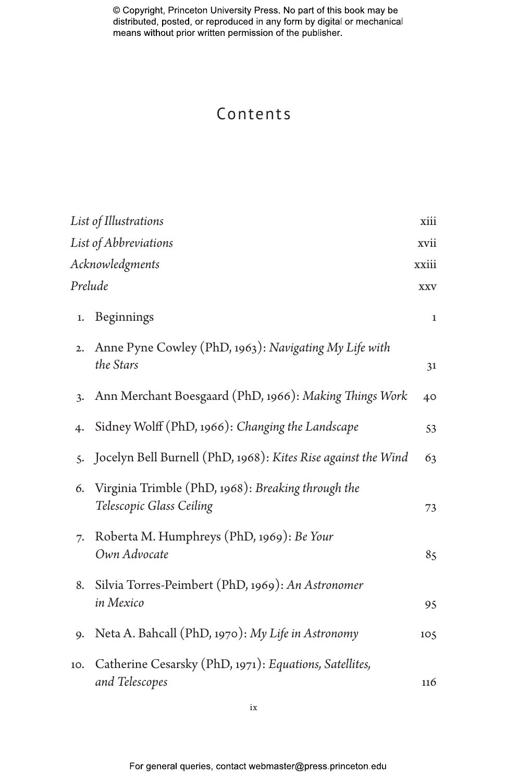# Contents

|                               | List of Illustrations                                                          | xiii        |  |
|-------------------------------|--------------------------------------------------------------------------------|-------------|--|
| List of Abbreviations<br>xvii |                                                                                |             |  |
| Acknowledgments<br>xxiii      |                                                                                |             |  |
| Prelude                       |                                                                                | <b>XXV</b>  |  |
| 1.                            | Beginnings                                                                     | $\mathbf 1$ |  |
| 2.                            | Anne Pyne Cowley (PhD, 1963): Navigating My Life with<br>the Stars             | 31          |  |
| 3.                            | Ann Merchant Boesgaard (PhD, 1966): Making Things Work                         | 40          |  |
| 4.                            | Sidney Wolff (PhD, 1966): Changing the Landscape                               | 53          |  |
| 5.                            | Jocelyn Bell Burnell (PhD, 1968): Kites Rise against the Wind                  | 63          |  |
| 6.                            | Virginia Trimble (PhD, 1968): Breaking through the<br>Telescopic Glass Ceiling | 73          |  |
| 7.                            | Roberta M. Humphreys (PhD, 1969): Be Your<br>Own Advocate                      | 85          |  |
| 8.                            | Silvia Torres-Peimbert (PhD, 1969): An Astronomer<br>in Mexico                 | 95          |  |
| 9.                            | Neta A. Bahcall (PhD, 1970): My Life in Astronomy                              | 105         |  |
| 10.                           | Catherine Cesarsky (PhD, 1971): Equations, Satellites,<br>and Telescopes       | 116         |  |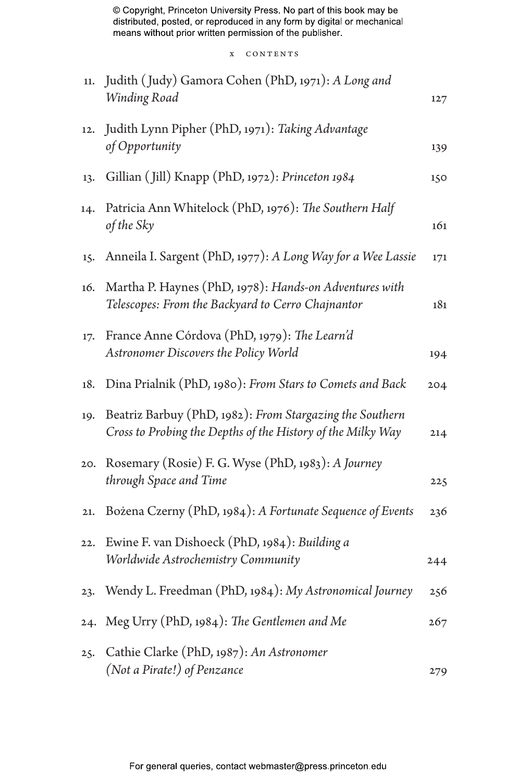x CONTENTS

| 11. | Judith (Judy) Gamora Cohen (PhD, 1971): A Long and<br>Winding Road                                                      | 127 |
|-----|-------------------------------------------------------------------------------------------------------------------------|-----|
| 12. | Judith Lynn Pipher (PhD, 1971): Taking Advantage<br>of Opportunity                                                      | 139 |
| 13. | Gillian (Jill) Knapp (PhD, 1972): Princeton 1984                                                                        | 150 |
| 14. | Patricia Ann Whitelock (PhD, 1976): The Southern Half<br>of the Sky                                                     | 161 |
| 15. | Anneila I. Sargent (PhD, 1977): A Long Way for a Wee Lassie                                                             | 171 |
| 16. | Martha P. Haynes (PhD, 1978): Hands-on Adventures with<br>Telescopes: From the Backyard to Cerro Chajnantor             | 181 |
| 17. | France Anne Córdova (PhD, 1979): The Learn'd<br>Astronomer Discovers the Policy World                                   | 194 |
| 18. | Dina Prialnik (PhD, 1980): From Stars to Comets and Back                                                                | 204 |
| 19. | Beatriz Barbuy (PhD, 1982): From Stargazing the Southern<br>Cross to Probing the Depths of the History of the Milky Way | 214 |
| 20. | Rosemary (Rosie) F. G. Wyse (PhD, 1983): A Journey<br>through Space and Time                                            | 225 |
| 21. | Bożena Czerny (PhD, 1984): A Fortunate Sequence of Events                                                               | 236 |
| 22. | Ewine F. van Dishoeck (PhD, 1984): Building a<br>Worldwide Astrochemistry Community                                     | 244 |
| 23. | Wendy L. Freedman (PhD, 1984): My Astronomical Journey                                                                  | 256 |
| 24. | Meg Urry (PhD, 1984): The Gentlemen and Me                                                                              | 267 |
| 25. | Cathie Clarke (PhD, 1987): An Astronomer<br>(Not a Pirate!) of Penzance                                                 | 279 |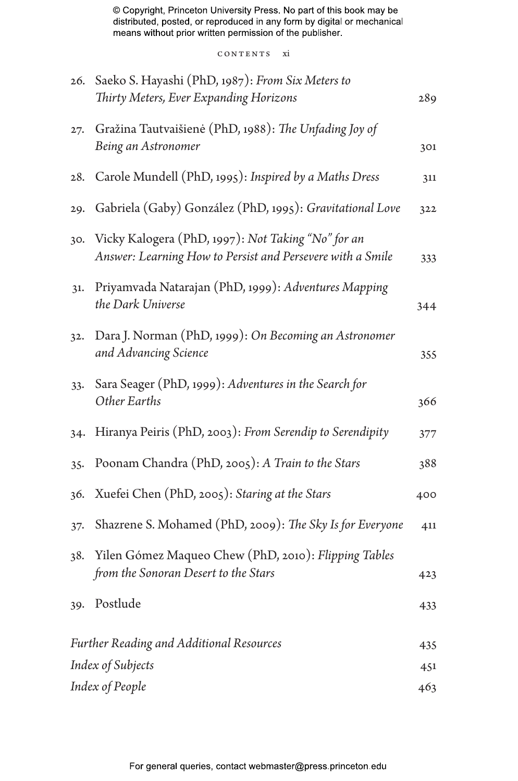CONTENTS xi

| 26.                                             | Saeko S. Hayashi (PhD, 1987): From Six Meters to<br>Thirty Meters, Ever Expanding Horizons                       | 289 |
|-------------------------------------------------|------------------------------------------------------------------------------------------------------------------|-----|
| 27.                                             | Gražina Tautvaišienė (PhD, 1988): The Unfading Joy of<br>Being an Astronomer                                     | 301 |
| 28.                                             | Carole Mundell (PhD, 1995): Inspired by a Maths Dress                                                            | 311 |
| 29.                                             | Gabriela (Gaby) González (PhD, 1995): Gravitational Love                                                         | 322 |
| 30.                                             | Vicky Kalogera (PhD, 1997): Not Taking "No" for an<br>Answer: Learning How to Persist and Persevere with a Smile | 333 |
| 31.                                             | Priyamvada Natarajan (PhD, 1999): Adventures Mapping<br>the Dark Universe                                        | 344 |
| 32.                                             | Dara J. Norman (PhD, 1999): On Becoming an Astronomer<br>and Advancing Science                                   | 355 |
| 33.                                             | Sara Seager (PhD, 1999): Adventures in the Search for<br>Other Earths                                            | 366 |
| 34.                                             | Hiranya Peiris (PhD, 2003): From Serendip to Serendipity                                                         | 377 |
| 35.                                             | Poonam Chandra (PhD, 2005): A Train to the Stars                                                                 | 388 |
| 36.                                             | Xuefei Chen (PhD, 2005): Staring at the Stars                                                                    | 400 |
| $37 -$                                          | Shazrene S. Mohamed (PhD, 2009): The Sky Is for Everyone                                                         | 411 |
| 38.                                             | Yilen Gómez Maqueo Chew (PhD, 2010): Flipping Tables<br>from the Sonoran Desert to the Stars                     | 423 |
| 39.                                             | Postlude                                                                                                         | 433 |
| <b>Further Reading and Additional Resources</b> |                                                                                                                  | 435 |
| Index of Subjects                               |                                                                                                                  | 451 |
| Index of People                                 |                                                                                                                  | 463 |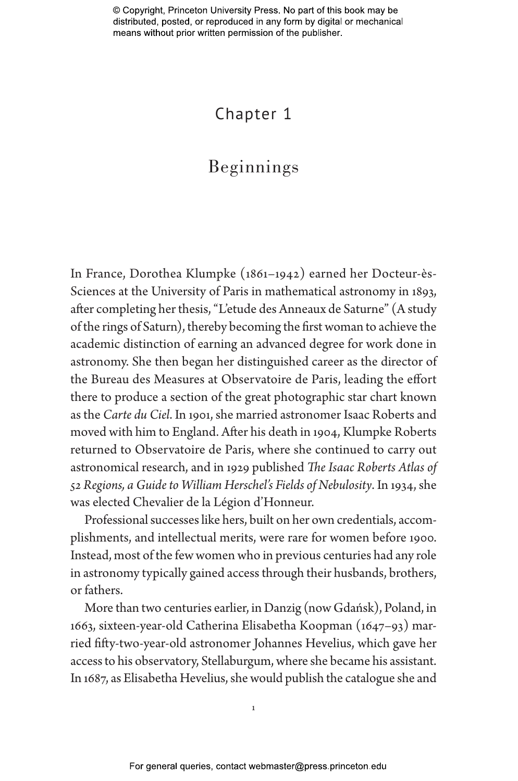# Chapter 1

# Beginnings

In France, Dorothea Klumpke (1861–1942) earned her Docteur-ès-Sciences at the University of Paris in mathematical astronomy in 1893, after completing her thesis, "L'etude des Anneaux de Saturne" (A study of the rings of Saturn), thereby becoming the first woman to achieve the academic distinction of earning an advanced degree for work done in astronomy. She then began her distinguished career as the director of the Bureau des Measures at Observatoire de Paris, leading the effort there to produce a section of the great photographic star chart known as the *Carte du Ciel*. In 1901, she married astronomer Isaac Roberts and moved with him to England. After his death in 1904, Klumpke Roberts returned to Observatoire de Paris, where she continued to carry out astronomical research, and in 1929 published *The Isaac Roberts Atlas of 52 Regions, a Guide to William Herschel's Fields of Nebulosity*. In 1934, she was elected Chevalier de la Légion d'Honneur.

Professional successes like hers, built on her own credentials, accomplishments, and intellectual merits, were rare for women before 1900. Instead, most of the few women who in previous centuries had any role in astronomy typically gained access through their husbands, brothers, or fathers.

More than two centuries earlier, in Danzig (now Gdańsk), Poland, in 1663, sixteen-year-old Catherina Elisabetha Koopman (1647–93) married fifty-two-year-old astronomer Johannes Hevelius, which gave her access to his observatory, Stellaburgum, where she became his assistant. In 1687, as Elisabetha Hevelius, she would publish the catalogue she and

1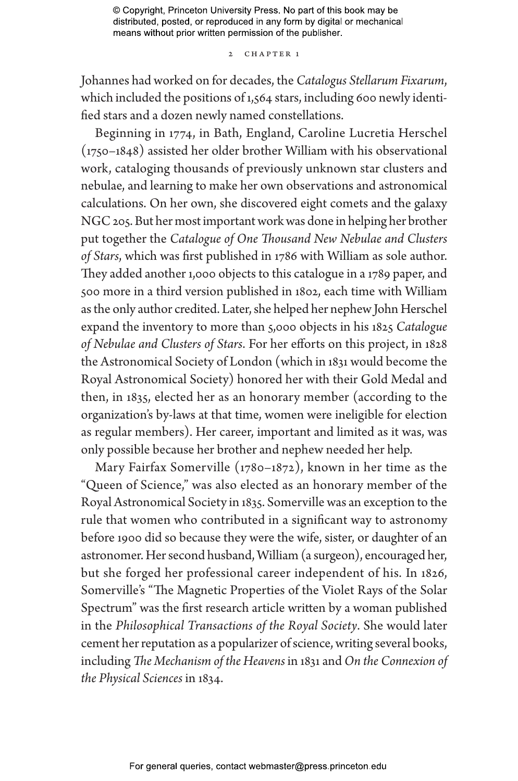## 2 CHAPTER 1

Johannes had worked on for decades, the *Catalogus Stellarum Fixarum*, which included the positions of 1,564 stars, including 600 newly identified stars and a dozen newly named constellations.

Beginning in 1774, in Bath, England, Caroline Lucretia Herschel (1750–1848) assisted her older brother William with his observational work, cataloging thousands of previously unknown star clusters and nebulae, and learning to make her own observations and astronomical calculations. On her own, she discovered eight comets and the galaxy NGC 205. But her most important work was done in helping her brother put together the *Catalogue of One Thousand New Nebulae and Clusters of Stars*, which was first published in 1786 with William as sole author. They added another 1,000 objects to this catalogue in a 1789 paper, and 500 more in a third version published in 1802, each time with William as the only author credited. Later, she helped her nephew John Herschel expand the inventory to more than 5,000 objects in his 1825 *Catalogue of Nebulae and Clusters of Stars*. For her efforts on this project, in 1828 the Astronomical Society of London (which in 1831 would become the Royal Astronomical Society) honored her with their Gold Medal and then, in 1835, elected her as an honorary member (according to the organization's by-laws at that time, women were ineligible for election as regular members). Her career, important and limited as it was, was only possible because her brother and nephew needed her help.

Mary Fairfax Somerville (1780–1872), known in her time as the "Queen of Science," was also elected as an honorary member of the Royal Astronomical Society in 1835. Somerville was an exception to the rule that women who contributed in a significant way to astronomy before 1900 did so because they were the wife, sister, or daughter of an astronomer. Her second husband, William (a surgeon), encouraged her, but she forged her professional career independent of his. In 1826, Somerville's "The Magnetic Properties of the Violet Rays of the Solar Spectrum" was the first research article written by a woman published in the *Philosophical Transactions of the Royal Society*. She would later cement her reputation as a popularizer of science, writing several books, including *The Mechanism of the Heavens* in 1831 and *On the Connexion of the Physical Sciences* in 1834.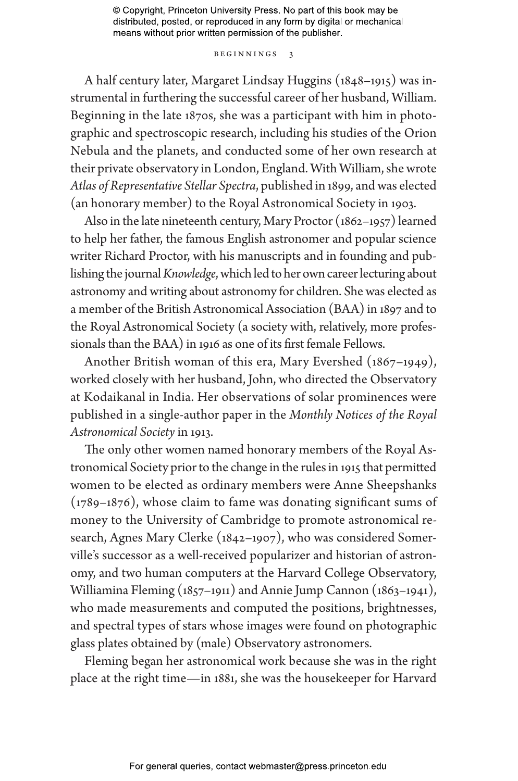### Beginnings 3

A half century later, Margaret Lindsay Huggins (1848–1915) was instrumental in furthering the successful career of her husband, William. Beginning in the late 1870s, she was a participant with him in photographic and spectroscopic research, including his studies of the Orion Nebula and the planets, and conducted some of her own research at their private observatory in London, England. With William, she wrote *Atlas of Representative Stellar Spectra*, published in 1899, and was elected (an honorary member) to the Royal Astronomical Society in 1903.

Also in the late nineteenth century, Mary Proctor (1862–1957) learned to help her father, the famous English astronomer and popular science writer Richard Proctor, with his manuscripts and in founding and publishing the journal *Knowledge*, which led to her own career lecturing about astronomy and writing about astronomy for children. She was elected as a member of the British Astronomical Association (BAA) in 1897 and to the Royal Astronomical Society (a society with, relatively, more professionals than the BAA) in 1916 as one of its first female Fellows.

Another British woman of this era, Mary Evershed (1867–1949), worked closely with her husband, John, who directed the Observatory at Kodaikanal in India. Her observations of solar prominences were published in a single-author paper in the *Monthly Notices of the Royal Astronomical Society* in 1913.

The only other women named honorary members of the Royal Astronomical Society prior to the change in the rules in 1915 that permitted women to be elected as ordinary members were Anne Sheepshanks (1789–1876), whose claim to fame was donating significant sums of money to the University of Cambridge to promote astronomical research, Agnes Mary Clerke (1842–1907), who was considered Somerville's successor as a well-received popularizer and historian of astronomy, and two human computers at the Harvard College Observatory, Williamina Fleming (1857–1911) and Annie Jump Cannon (1863–1941), who made measurements and computed the positions, brightnesses, and spectral types of stars whose images were found on photographic glass plates obtained by (male) Observatory astronomers.

Fleming began her astronomical work because she was in the right place at the right time—in 1881, she was the housekeeper for Harvard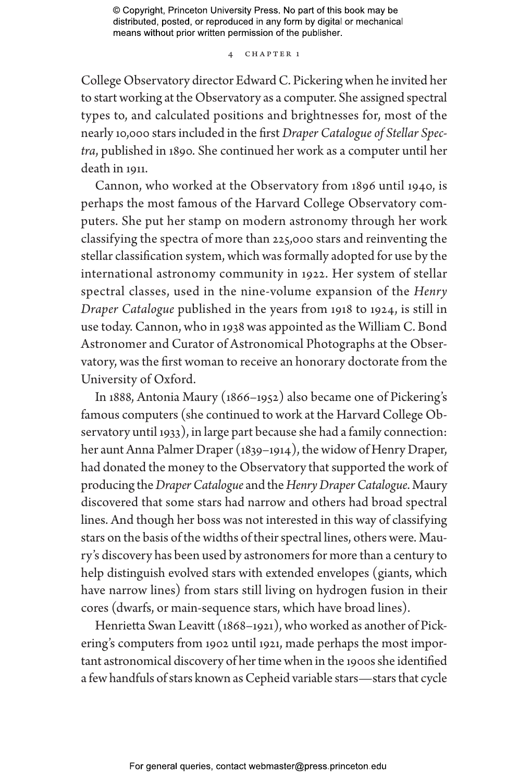4 Chapter 1

College Observatory director Edward C. Pickering when he invited her to start working at the Observatory as a computer. She assigned spectral types to, and calculated positions and brightnesses for, most of the nearly 10,000 stars included in the first *Draper Catalogue of Stellar Spectra*, published in 1890. She continued her work as a computer until her death in 1911.

Cannon, who worked at the Observatory from 1896 until 1940, is perhaps the most famous of the Harvard College Observatory computers. She put her stamp on modern astronomy through her work classifying the spectra of more than 225,000 stars and reinventing the stellar classification system, which was formally adopted for use by the international astronomy community in 1922. Her system of stellar spectral classes, used in the nine-volume expansion of the *Henry Draper Catalogue* published in the years from 1918 to 1924, is still in use today. Cannon, who in 1938 was appointed as the William C. Bond Astronomer and Curator of Astronomical Photographs at the Observatory, was the first woman to receive an honorary doctorate from the University of Oxford.

In 1888, Antonia Maury (1866–1952) also became one of Pickering's famous computers (she continued to work at the Harvard College Observatory until 1933), in large part because she had a family connection: her aunt Anna Palmer Draper (1839–1914), the widow of Henry Draper, had donated the money to the Observatory that supported the work of producing the *Draper Catalogue* and the *Henry Draper Catalogue*. Maury discovered that some stars had narrow and others had broad spectral lines. And though her boss was not interested in this way of classifying stars on the basis of the widths of their spectral lines, others were. Maury's discovery has been used by astronomers for more than a century to help distinguish evolved stars with extended envelopes (giants, which have narrow lines) from stars still living on hydrogen fusion in their cores (dwarfs, or main-sequence stars, which have broad lines).

Henrietta Swan Leavitt (1868–1921), who worked as another of Pickering's computers from 1902 until 1921, made perhaps the most important astronomical discovery of her time when in the 1900s she identified a few handfuls of stars known as Cepheid variable stars—stars that cycle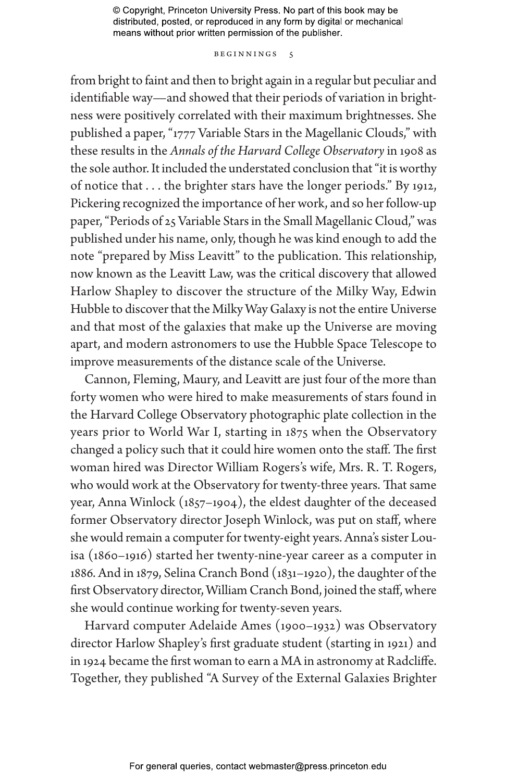### BEGINNINGS 5

from bright to faint and then to bright again in a regular but peculiar and identifiable way—and showed that their periods of variation in brightness were positively correlated with their maximum brightnesses. She published a paper, "1777 Variable Stars in the Magellanic Clouds," with these results in the *Annals of the Harvard College Observatory* in 1908 as the sole author. It included the understated conclusion that "it is worthy of notice that . . . the brighter stars have the longer periods." By 1912, Pickering recognized the importance of her work, and so her follow-up paper, "Periods of 25 Variable Stars in the Small Magellanic Cloud," was published under his name, only, though he was kind enough to add the note "prepared by Miss Leavitt" to the publication. This relationship, now known as the Leavitt Law, was the critical discovery that allowed Harlow Shapley to discover the structure of the Milky Way, Edwin Hubble to discover that the Milky Way Galaxy is not the entire Universe and that most of the galaxies that make up the Universe are moving apart, and modern astronomers to use the Hubble Space Telescope to improve measurements of the distance scale of the Universe.

Cannon, Fleming, Maury, and Leavitt are just four of the more than forty women who were hired to make measurements of stars found in the Harvard College Observatory photographic plate collection in the years prior to World War I, starting in 1875 when the Observatory changed a policy such that it could hire women onto the staff. The first woman hired was Director William Rogers's wife, Mrs. R. T. Rogers, who would work at the Observatory for twenty-three years. That same year, Anna Winlock (1857–1904), the eldest daughter of the deceased former Observatory director Joseph Winlock, was put on staff, where she would remain a computer for twenty-eight years. Anna's sister Louisa (1860–1916) started her twenty-nine-year career as a computer in 1886. And in 1879, Selina Cranch Bond (1831–1920), the daughter of the first Observatory director, William Cranch Bond, joined the staff, where she would continue working for twenty-seven years.

Harvard computer Adelaide Ames (1900–1932) was Observatory director Harlow Shapley's first graduate student (starting in 1921) and in 1924 became the first woman to earn a MA in astronomy at Radcliffe. Together, they published "A Survey of the External Galaxies Brighter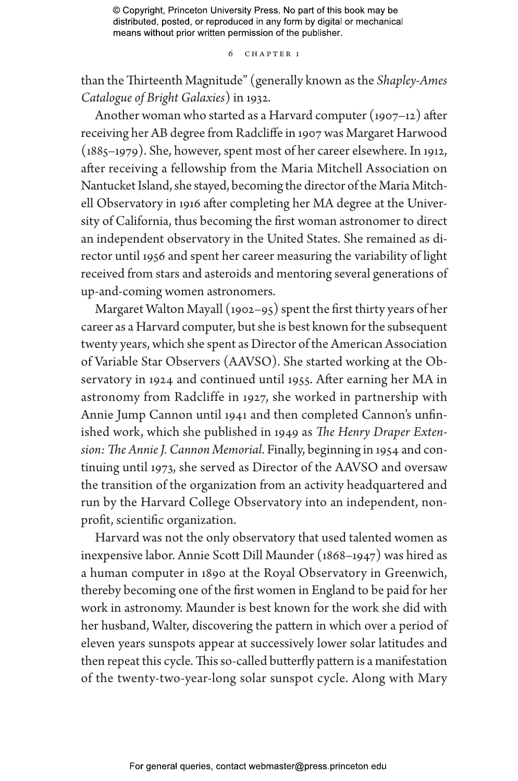### 6 Chapter 1

than the Thirteenth Magnitude" (generally known as the *Shapley-Ames Catalogue of Bright Galaxies*) in 1932.

Another woman who started as a Harvard computer  $(1907-12)$  after receiving her AB degree from Radcliffe in 1907 was Margaret Harwood (1885–1979). She, however, spent most of her career elsewhere. In 1912, after receiving a fellowship from the Maria Mitchell Association on Nantucket Island, she stayed, becoming the director of the Maria Mitchell Observatory in 1916 after completing her MA degree at the University of California, thus becoming the first woman astronomer to direct an independent observatory in the United States. She remained as director until 1956 and spent her career measuring the variability of light received from stars and asteroids and mentoring several generations of up-and-coming women astronomers.

Margaret Walton Mayall (1902–95) spent the first thirty years of her career as a Harvard computer, but she is best known for the subsequent twenty years, which she spent as Director of the American Association of Variable Star Observers (AAVSO). She started working at the Observatory in 1924 and continued until 1955. After earning her MA in astronomy from Radcliffe in 1927, she worked in partnership with Annie Jump Cannon until 1941 and then completed Cannon's unfinished work, which she published in 1949 as *The Henry Draper Extension: The Annie J. Cannon Memorial*. Finally, beginning in 1954 and continuing until 1973, she served as Director of the AAVSO and oversaw the transition of the organization from an activity headquartered and run by the Harvard College Observatory into an independent, nonprofit, scientific organization.

Harvard was not the only observatory that used talented women as inexpensive labor. Annie Scott Dill Maunder (1868–1947) was hired as a human computer in 1890 at the Royal Observatory in Greenwich, thereby becoming one of the first women in England to be paid for her work in astronomy. Maunder is best known for the work she did with her husband, Walter, discovering the pattern in which over a period of eleven years sunspots appear at successively lower solar latitudes and then repeat this cycle. This so-called butterfly pattern is a manifestation of the twenty-two-year-long solar sunspot cycle. Along with Mary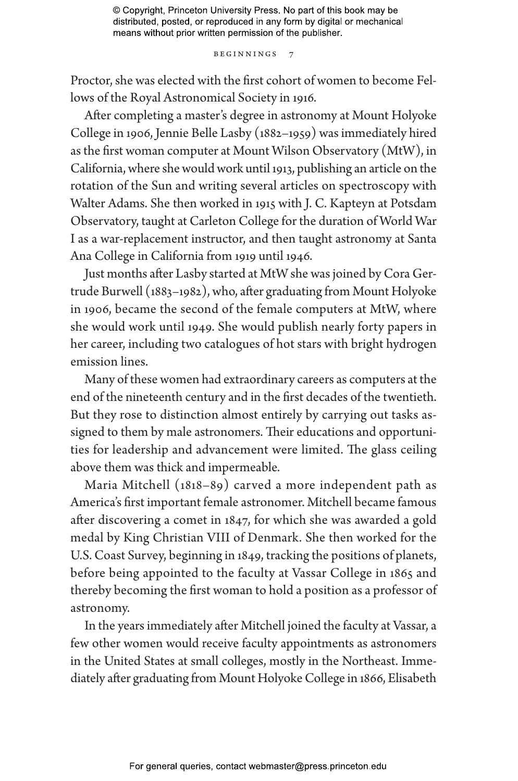#### Beginnings 7

Proctor, she was elected with the first cohort of women to become Fellows of the Royal Astronomical Society in 1916.

After completing a master's degree in astronomy at Mount Holyoke College in 1906, Jennie Belle Lasby (1882–1959) was immediately hired as the first woman computer at Mount Wilson Observatory (MtW), in California, where she would work until 1913, publishing an article on the rotation of the Sun and writing several articles on spectroscopy with Walter Adams. She then worked in 1915 with J. C. Kapteyn at Potsdam Observatory, taught at Carleton College for the duration of World War I as a war-replacement instructor, and then taught astronomy at Santa Ana College in California from 1919 until 1946.

Just months after Lasby started at MtW she was joined by Cora Gertrude Burwell (1883–1982), who, after graduating from Mount Holyoke in 1906, became the second of the female computers at MtW, where she would work until 1949. She would publish nearly forty papers in her career, including two catalogues of hot stars with bright hydrogen emission lines.

Many of these women had extraordinary careers as computers at the end of the nineteenth century and in the first decades of the twentieth. But they rose to distinction almost entirely by carrying out tasks assigned to them by male astronomers. Their educations and opportunities for leadership and advancement were limited. The glass ceiling above them was thick and impermeable.

Maria Mitchell (1818–89) carved a more independent path as America's first important female astronomer. Mitchell became famous after discovering a comet in 1847, for which she was awarded a gold medal by King Christian VIII of Denmark. She then worked for the U.S. Coast Survey, beginning in 1849, tracking the positions of planets, before being appointed to the faculty at Vassar College in 1865 and thereby becoming the first woman to hold a position as a professor of astronomy.

In the years immediately after Mitchell joined the faculty at Vassar, a few other women would receive faculty appointments as astronomers in the United States at small colleges, mostly in the Northeast. Immediately after graduating from Mount Holyoke College in 1866, Elisabeth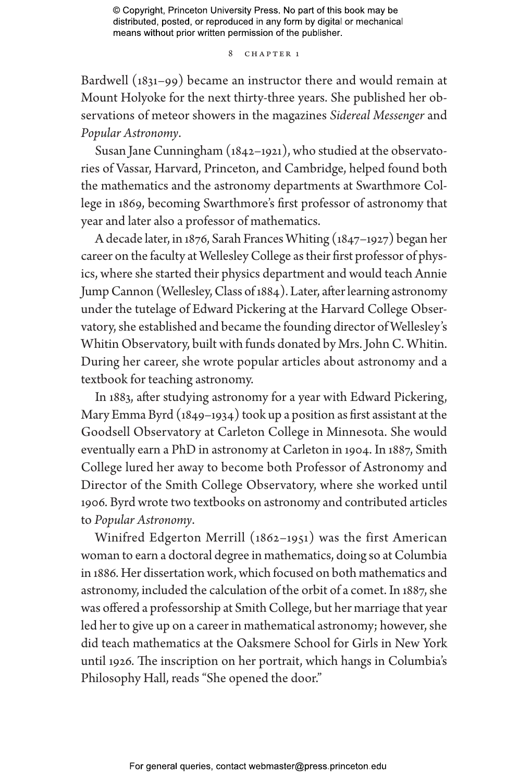### 8 CHAPTER 1

Bardwell (1831–99) became an instructor there and would remain at Mount Holyoke for the next thirty-three years. She published her observations of meteor showers in the magazines *Sidereal Messenger* and *Popular Astronomy*.

Susan Jane Cunningham (1842–1921), who studied at the observatories of Vassar, Harvard, Princeton, and Cambridge, helped found both the mathematics and the astronomy departments at Swarthmore College in 1869, becoming Swarthmore's first professor of astronomy that year and later also a professor of mathematics.

A decade later, in 1876, Sarah Frances Whiting (1847–1927) began her career on the faculty at Wellesley College as their first professor of physics, where she started their physics department and would teach Annie Jump Cannon (Wellesley, Class of 1884). Later, after learning astronomy under the tutelage of Edward Pickering at the Harvard College Observatory, she established and became the founding director of Wellesley's Whitin Observatory, built with funds donated by Mrs. John C. Whitin. During her career, she wrote popular articles about astronomy and a textbook for teaching astronomy.

In 1883, after studying astronomy for a year with Edward Pickering, Mary Emma Byrd (1849–1934) took up a position as first assistant at the Goodsell Observatory at Carleton College in Minnesota. She would eventually earn a PhD in astronomy at Carleton in 1904. In 1887, Smith College lured her away to become both Professor of Astronomy and Director of the Smith College Observatory, where she worked until 1906. Byrd wrote two textbooks on astronomy and contributed articles to *Popular Astronomy*.

Winifred Edgerton Merrill (1862–1951) was the first American woman to earn a doctoral degree in mathematics, doing so at Columbia in 1886. Her dissertation work, which focused on both mathematics and astronomy, included the calculation of the orbit of a comet. In 1887, she was offered a professorship at Smith College, but her marriage that year led her to give up on a career in mathematical astronomy; however, she did teach mathematics at the Oaksmere School for Girls in New York until 1926. The inscription on her portrait, which hangs in Columbia's Philosophy Hall, reads "She opened the door."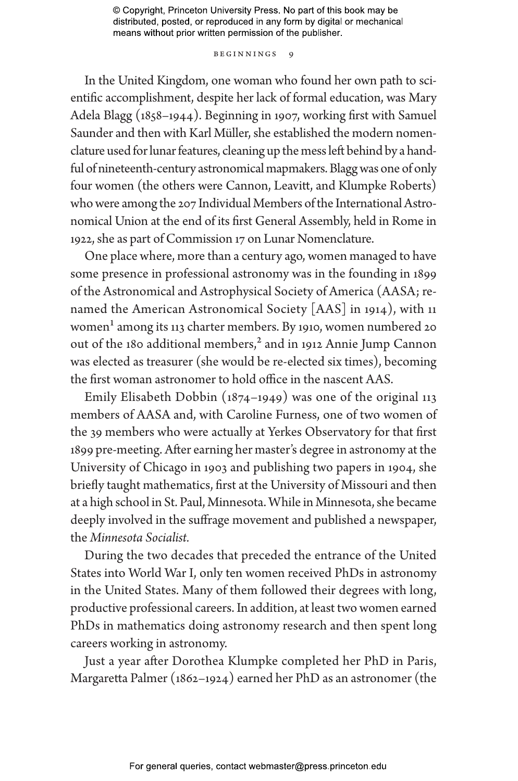### BEGINNINGS 9

In the United Kingdom, one woman who found her own path to scientific accomplishment, despite her lack of formal education, was Mary Adela Blagg (1858–1944). Beginning in 1907, working first with Samuel Saunder and then with Karl Müller, she established the modern nomenclature used for lunar features, cleaning up the mess left behind by a handful of nineteenth-century astronomical mapmakers. Blagg was one of only four women (the others were Cannon, Leavitt, and Klumpke Roberts) who were among the 207 Individual Members of the International Astronomical Union at the end of its first General Assembly, held in Rome in 1922, she as part of Commission 17 on Lunar Nomenclature.

One place where, more than a century ago, women managed to have some presence in professional astronomy was in the founding in 1899 of the Astronomical and Astrophysical Society of America (AASA; renamed the American Astronomical Society [AAS] in 1914), with 11 women<sup>1</sup> among its 113 charter members. By 1910, women numbered 20 out of the 180 additional members,<sup>2</sup> and in 1912 Annie Jump Cannon was elected as treasurer (she would be re-elected six times), becoming the first woman astronomer to hold office in the nascent AAS.

Emily Elisabeth Dobbin (1874–1949) was one of the original 113 members of AASA and, with Caroline Furness, one of two women of the 39 members who were actually at Yerkes Observatory for that first 1899 pre-meeting. After earning her master's degree in astronomy at the University of Chicago in 1903 and publishing two papers in 1904, she briefly taught mathematics, first at the University of Missouri and then at a high school in St. Paul, Minnesota. While in Minnesota, she became deeply involved in the suffrage movement and published a newspaper, the *Minnesota Socialist.*

During the two decades that preceded the entrance of the United States into World War I, only ten women received PhDs in astronomy in the United States. Many of them followed their degrees with long, productive professional careers. In addition, at least two women earned PhDs in mathematics doing astronomy research and then spent long careers working in astronomy.

Just a year after Dorothea Klumpke completed her PhD in Paris, Margaretta Palmer (1862–1924) earned her PhD as an astronomer (the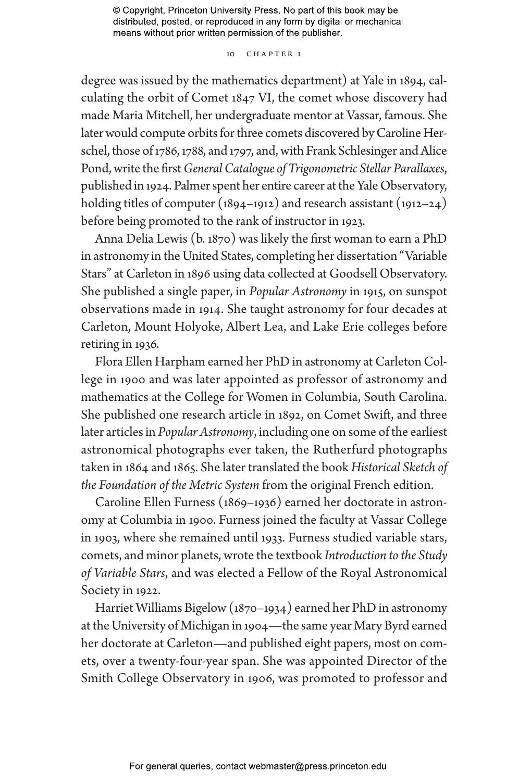## 10 CHAPTER 1

degree was issued by the mathematics department) at Yale in 1894, calculating the orbit of Comet 1847 VI, the comet whose discovery had made Maria Mitchell, her undergraduate mentor at Vassar, famous. She later would compute orbits for three comets discovered by Caroline Herschel, those of 1786, 1788, and 1797, and, with Frank Schlesinger and Alice Pond, write the first *General Catalogue of Trigonometric Stellar Parallaxes*, published in 1924. Palmer spent her entire career at the Yale Observatory, holding titles of computer (1894–1912) and research assistant (1912–24) before being promoted to the rank of instructor in 1923.

Anna Delia Lewis (b. 1870) was likely the first woman to earn a PhD in astronomy in the United States, completing her dissertation "Variable Stars" at Carleton in 1896 using data collected at Goodsell Observatory. She published a single paper, in *Popular Astronomy* in 1915, on sunspot observations made in 1914. She taught astronomy for four decades at Carleton, Mount Holyoke, Albert Lea, and Lake Erie colleges before retiring in 1936.

Flora Ellen Harpham earned her PhD in astronomy at Carleton College in 1900 and was later appointed as professor of astronomy and mathematics at the College for Women in Columbia, South Carolina. She published one research article in 1892, on Comet Swift, and three later articles in *Popular Astronomy*, including one on some of the earliest astronomical photographs ever taken, the Rutherfurd photographs taken in 1864 and 1865. She later translated the book *Historical Sketch of the Foundation of the Metric System* from the original French edition.

Caroline Ellen Furness (1869–1936) earned her doctorate in astronomy at Columbia in 1900. Furness joined the faculty at Vassar College in 1903, where she remained until 1933. Furness studied variable stars, comets, and minor planets, wrote the textbook *Introduction to the Study of Variable Stars*, and was elected a Fellow of the Royal Astronomical Society in 1922.

Harriet Williams Bigelow (1870–1934) earned her PhD in astronomy at the University of Michigan in 1904—the same year Mary Byrd earned her doctorate at Carleton—and published eight papers, most on comets, over a twenty-four-year span. She was appointed Director of the Smith College Observatory in 1906, was promoted to professor and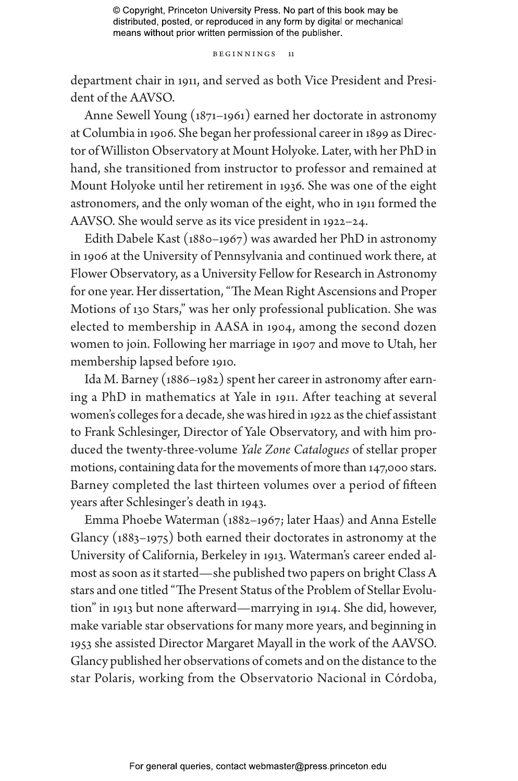#### Beginnings 11

department chair in 1911, and served as both Vice President and President of the AAVSO.

Anne Sewell Young (1871–1961) earned her doctorate in astronomy at Columbia in 1906. She began her professional career in 1899 as Director of Williston Observatory at Mount Holyoke. Later, with her PhD in hand, she transitioned from instructor to professor and remained at Mount Holyoke until her retirement in 1936. She was one of the eight astronomers, and the only woman of the eight, who in 1911 formed the AAVSO. She would serve as its vice president in 1922–24.

Edith Dabele Kast (1880–1967) was awarded her PhD in astronomy in 1906 at the University of Pennsylvania and continued work there, at Flower Observatory, as a University Fellow for Research in Astronomy for one year. Her dissertation, "The Mean Right Ascensions and Proper Motions of 130 Stars," was her only professional publication. She was elected to membership in AASA in 1904, among the second dozen women to join. Following her marriage in 1907 and move to Utah, her membership lapsed before 1910.

Ida M. Barney (1886–1982) spent her career in astronomy after earning a PhD in mathematics at Yale in 1911. After teaching at several women's colleges for a decade, she was hired in 1922 as the chief assistant to Frank Schlesinger, Director of Yale Observatory, and with him produced the twenty-three-volume *Yale Zone Catalogues* of stellar proper motions, containing data for the movements of more than 147,000 stars. Barney completed the last thirteen volumes over a period of fifteen years after Schlesinger's death in 1943.

Emma Phoebe Waterman (1882–1967; later Haas) and Anna Estelle Glancy (1883–1975) both earned their doctorates in astronomy at the University of California, Berkeley in 1913. Waterman's career ended almost as soon as it started—she published two papers on bright Class A stars and one titled "The Present Status of the Problem of Stellar Evolution" in 1913 but none afterward—marrying in 1914. She did, however, make variable star observations for many more years, and beginning in 1953 she assisted Director Margaret Mayall in the work of the AAVSO. Glancy published her observations of comets and on the distance to the star Polaris, working from the Observatorio Nacional in Córdoba,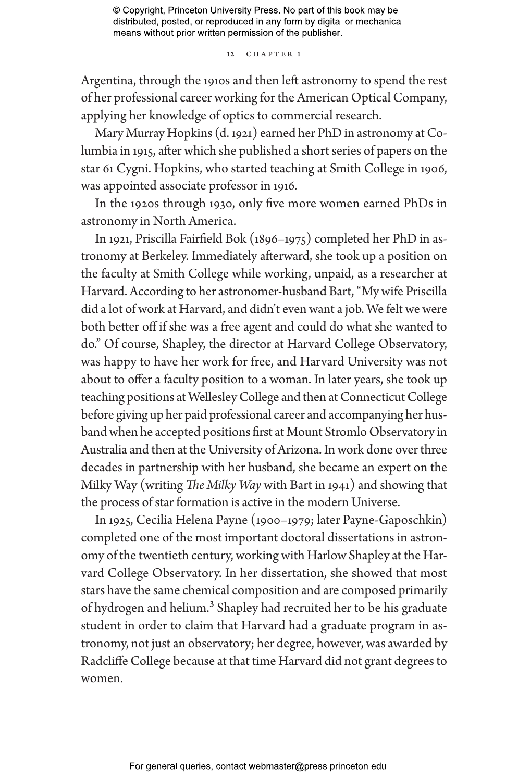#### 12 CHAPTER 1

Argentina, through the 1910s and then left astronomy to spend the rest of her professional career working for the American Optical Company, applying her knowledge of optics to commercial research.

Mary Murray Hopkins (d. 1921) earned her PhD in astronomy at Columbia in 1915, after which she published a short series of papers on the star 61 Cygni. Hopkins, who started teaching at Smith College in 1906, was appointed associate professor in 1916.

In the 1920s through 1930, only five more women earned PhDs in astronomy in North America.

In 1921, Priscilla Fairfield Bok (1896–1975) completed her PhD in astronomy at Berkeley. Immediately afterward, she took up a position on the faculty at Smith College while working, unpaid, as a researcher at Harvard. According to her astronomer-husband Bart, "My wife Priscilla did a lot of work at Harvard, and didn't even want a job. We felt we were both better off if she was a free agent and could do what she wanted to do." Of course, Shapley, the director at Harvard College Observatory, was happy to have her work for free, and Harvard University was not about to offer a faculty position to a woman. In later years, she took up teaching positions at Wellesley College and then at Connecticut College before giving up her paid professional career and accompanying her husband when he accepted positions first at Mount Stromlo Observatory in Australia and then at the University of Arizona. In work done over three decades in partnership with her husband, she became an expert on the Milky Way (writing *The Milky Way* with Bart in 1941) and showing that the process of star formation is active in the modern Universe.

In 1925, Cecilia Helena Payne (1900–1979; later Payne-Gaposchkin) completed one of the most important doctoral dissertations in astronomy of the twentieth century, working with Harlow Shapley at the Harvard College Observatory. In her dissertation, she showed that most stars have the same chemical composition and are composed primarily of hydrogen and helium.<sup>3</sup> Shapley had recruited her to be his graduate student in order to claim that Harvard had a graduate program in astronomy, not just an observatory; her degree, however, was awarded by Radcliffe College because at that time Harvard did not grant degrees to women.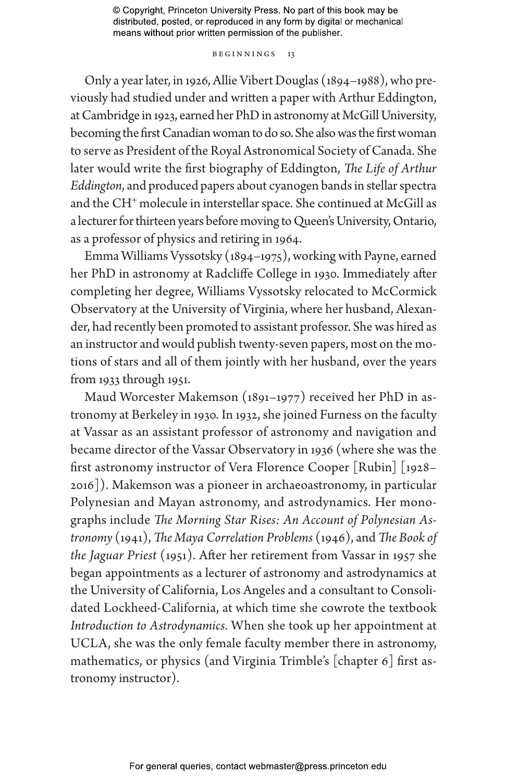### Beginnings 13

Only a year later, in 1926, Allie Vibert Douglas (1894–1988), who previously had studied under and written a paper with Arthur Eddington, at Cambridge in 1923, earned her PhD in astronomy at McGill University, becoming the first Canadian woman to do so. She also was the first woman to serve as President of the Royal Astronomical Society of Canada. She later would write the first biography of Eddington, *The Life of Arthur Eddington*, and produced papers about cyanogen bands in stellar spectra and the CH<sup>+</sup> molecule in interstellar space. She continued at McGill as a lecturer for thirteen years before moving to Queen's University, Ontario, as a professor of physics and retiring in 1964.

Emma Williams Vyssotsky (1894–1975), working with Payne, earned her PhD in astronomy at Radcliffe College in 1930. Immediately after completing her degree, Williams Vyssotsky relocated to McCormick Observatory at the University of Virginia, where her husband, Alexander, had recently been promoted to assistant professor. She was hired as an instructor and would publish twenty-seven papers, most on the motions of stars and all of them jointly with her husband, over the years from 1933 through 1951.

Maud Worcester Makemson (1891–1977) received her PhD in astronomy at Berkeley in 1930. In 1932, she joined Furness on the faculty at Vassar as an assistant professor of astronomy and navigation and became director of the Vassar Observatory in 1936 (where she was the first astronomy instructor of Vera Florence Cooper [Rubin] [1928– 2016]). Makemson was a pioneer in archaeoastronomy, in particular Polynesian and Mayan astronomy, and astrodynamics. Her monographs include *The Morning Star Rises: An Account of Polynesian Astronomy* (1941), *The Maya Correlation Problems* (1946), and *The Book of the Jaguar Priest* (1951). After her retirement from Vassar in 1957 she began appointments as a lecturer of astronomy and astrodynamics at the University of California, Los Angeles and a consultant to Consolidated Lockheed-California, at which time she cowrote the textbook *Introduction to Astrodynamics*. When she took up her appointment at UCLA, she was the only female faculty member there in astronomy, mathematics, or physics (and Virginia Trimble's [chapter 6] first astronomy instructor).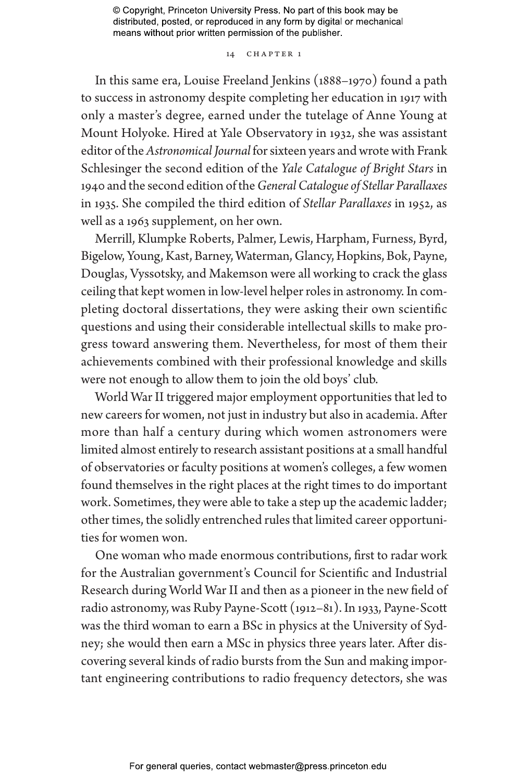## 14 CHAPTER 1

In this same era, Louise Freeland Jenkins (1888–1970) found a path to success in astronomy despite completing her education in 1917 with only a master's degree, earned under the tutelage of Anne Young at Mount Holyoke. Hired at Yale Observatory in 1932, she was assistant editor of the *Astronomical Journal* for sixteen years and wrote with Frank Schlesinger the second edition of the *Yale Catalogue of Bright Stars* in 1940 and the second edition of the *General Catalogue of Stellar Parallaxes* in 1935. She compiled the third edition of *Stellar Parallaxes* in 1952, as well as a 1963 supplement, on her own.

Merrill, Klumpke Roberts, Palmer, Lewis, Harpham, Furness, Byrd, Bigelow, Young, Kast, Barney, Waterman, Glancy, Hopkins, Bok, Payne, Douglas, Vyssotsky, and Makemson were all working to crack the glass ceiling that kept women in low-level helper roles in astronomy. In completing doctoral dissertations, they were asking their own scientific questions and using their considerable intellectual skills to make progress toward answering them. Nevertheless, for most of them their achievements combined with their professional knowledge and skills were not enough to allow them to join the old boys' club.

World War II triggered major employment opportunities that led to new careers for women, not just in industry but also in academia. After more than half a century during which women astronomers were limited almost entirely to research assistant positions at a small handful of observatories or faculty positions at women's colleges, a few women found themselves in the right places at the right times to do important work. Sometimes, they were able to take a step up the academic ladder; other times, the solidly entrenched rules that limited career opportunities for women won.

One woman who made enormous contributions, first to radar work for the Australian government's Council for Scientific and Industrial Research during World War II and then as a pioneer in the new field of radio astronomy, was Ruby Payne-Scott (1912–81). In 1933, Payne-Scott was the third woman to earn a BSc in physics at the University of Sydney; she would then earn a MSc in physics three years later. After discovering several kinds of radio bursts from the Sun and making important engineering contributions to radio frequency detectors, she was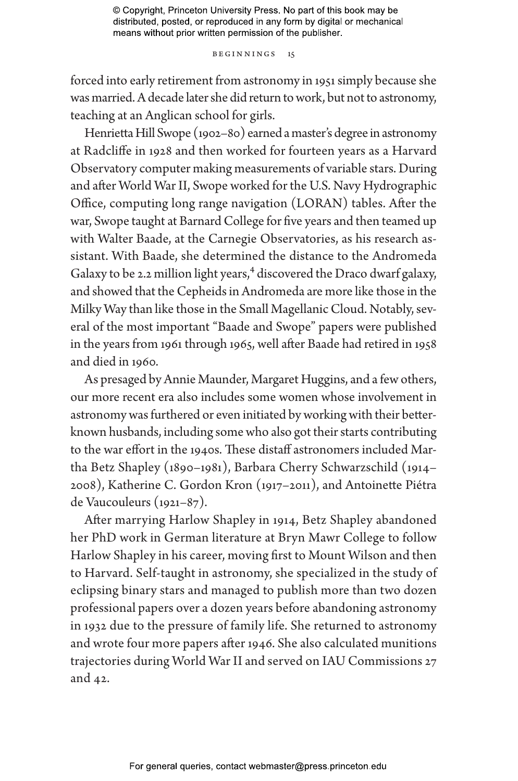#### Beginnings 15

forced into early retirement from astronomy in 1951 simply because she was married. A decade later she did return to work, but not to astronomy, teaching at an Anglican school for girls.

Henrietta Hill Swope (1902–80) earned a master's degree in astronomy at Radcliffe in 1928 and then worked for fourteen years as a Harvard Observatory computer making measurements of variable stars. During and after World War II, Swope worked for the U.S. Navy Hydrographic Office, computing long range navigation (LORAN) tables. After the war, Swope taught at Barnard College for five years and then teamed up with Walter Baade, at the Carnegie Observatories, as his research assistant. With Baade, she determined the distance to the Andromeda Galaxy to be 2.2 million light years, $4$  discovered the Draco dwarf galaxy, and showed that the Cepheids in Andromeda are more like those in the Milky Way than like those in the Small Magellanic Cloud. Notably, several of the most important "Baade and Swope" papers were published in the years from 1961 through 1965, well after Baade had retired in 1958 and died in 1960.

As presaged by Annie Maunder, Margaret Huggins, and a few others, our more recent era also includes some women whose involvement in astronomy was furthered or even initiated by working with their betterknown husbands, including some who also got their starts contributing to the war effort in the 1940s. These distaff astronomers included Martha Betz Shapley (1890–1981), Barbara Cherry Schwarzschild (1914– 2008), Katherine C. Gordon Kron (1917–2011), and Antoinette Piétra de Vaucouleurs (1921–87).

After marrying Harlow Shapley in 1914, Betz Shapley abandoned her PhD work in German literature at Bryn Mawr College to follow Harlow Shapley in his career, moving first to Mount Wilson and then to Harvard. Self-taught in astronomy, she specialized in the study of eclipsing binary stars and managed to publish more than two dozen professional papers over a dozen years before abandoning astronomy in 1932 due to the pressure of family life. She returned to astronomy and wrote four more papers after 1946. She also calculated munitions trajectories during World War II and served on IAU Commissions 27 and 42.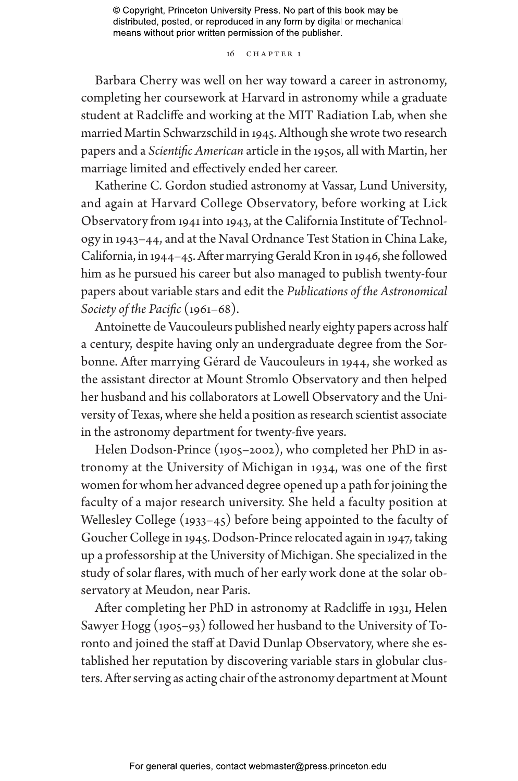16 Chapter 1

Barbara Cherry was well on her way toward a career in astronomy, completing her coursework at Harvard in astronomy while a graduate student at Radcliffe and working at the MIT Radiation Lab, when she married Martin Schwarzschild in 1945. Although she wrote two research papers and a *Scientific American* article in the 1950s, all with Martin, her marriage limited and effectively ended her career.

Katherine C. Gordon studied astronomy at Vassar, Lund University, and again at Harvard College Observatory, before working at Lick Observatory from 1941 into 1943, at the California Institute of Technology in 1943–44, and at the Naval Ordnance Test Station in China Lake, California, in 1944–45. After marrying Gerald Kron in 1946, she followed him as he pursued his career but also managed to publish twenty-four papers about variable stars and edit the *Publications of the Astronomical Society of the Pacific* (1961–68).

Antoinette de Vaucouleurs published nearly eighty papers across half a century, despite having only an undergraduate degree from the Sorbonne. After marrying Gérard de Vaucouleurs in 1944, she worked as the assistant director at Mount Stromlo Observatory and then helped her husband and his collaborators at Lowell Observatory and the University of Texas, where she held a position as research scientist associate in the astronomy department for twenty-five years.

Helen Dodson-Prince (1905–2002), who completed her PhD in astronomy at the University of Michigan in 1934, was one of the first women for whom her advanced degree opened up a path for joining the faculty of a major research university. She held a faculty position at Wellesley College (1933–45) before being appointed to the faculty of Goucher College in 1945. Dodson-Prince relocated again in 1947, taking up a professorship at the University of Michigan. She specialized in the study of solar flares, with much of her early work done at the solar observatory at Meudon, near Paris.

After completing her PhD in astronomy at Radcliffe in 1931, Helen Sawyer Hogg (1905–93) followed her husband to the University of Toronto and joined the staff at David Dunlap Observatory, where she established her reputation by discovering variable stars in globular clusters. After serving as acting chair of the astronomy department at Mount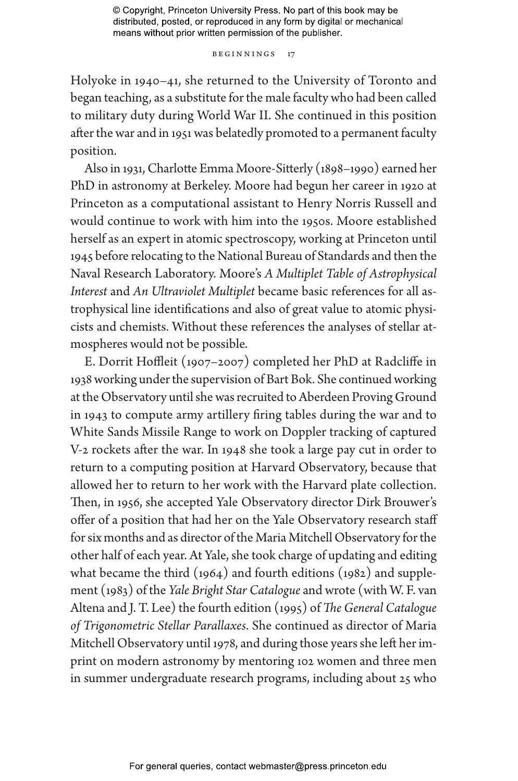Beginnings 17

Holyoke in 1940–41, she returned to the University of Toronto and began teaching, as a substitute for the male faculty who had been called to military duty during World War II. She continued in this position after the war and in 1951 was belatedly promoted to a permanent faculty position.

Also in 1931, Charlotte Emma Moore-Sitterly (1898–1990) earned her PhD in astronomy at Berkeley. Moore had begun her career in 1920 at Princeton as a computational assistant to Henry Norris Russell and would continue to work with him into the 1950s. Moore established herself as an expert in atomic spectroscopy, working at Princeton until 1945 before relocating to the National Bureau of Standards and then the Naval Research Laboratory. Moore's *A Multiplet Table of Astrophysical Interest* and *An Ultraviolet Multiplet* became basic references for all astrophysical line identifications and also of great value to atomic physicists and chemists. Without these references the analyses of stellar atmospheres would not be possible.

E. Dorrit Hoffleit (1907–2007) completed her PhD at Radcliffe in 1938 working under the supervision of Bart Bok. She continued working at the Observatory until she was recruited to Aberdeen Proving Ground in 1943 to compute army artillery firing tables during the war and to White Sands Missile Range to work on Doppler tracking of captured V-2 rockets after the war. In 1948 she took a large pay cut in order to return to a computing position at Harvard Observatory, because that allowed her to return to her work with the Harvard plate collection. Then, in 1956, she accepted Yale Observatory director Dirk Brouwer's offer of a position that had her on the Yale Observatory research staff for six months and as director of the Maria Mitchell Observatory for the other half of each year. At Yale, she took charge of updating and editing what became the third (1964) and fourth editions (1982) and supplement (1983) of the *Yale Bright Star Catalogue* and wrote (with W. F. van Altena and J. T. Lee) the fourth edition (1995) of *The General Catalogue of Trigonometric Stellar Parallaxes*. She continued as director of Maria Mitchell Observatory until 1978, and during those years she left her imprint on modern astronomy by mentoring 102 women and three men in summer undergraduate research programs, including about 25 who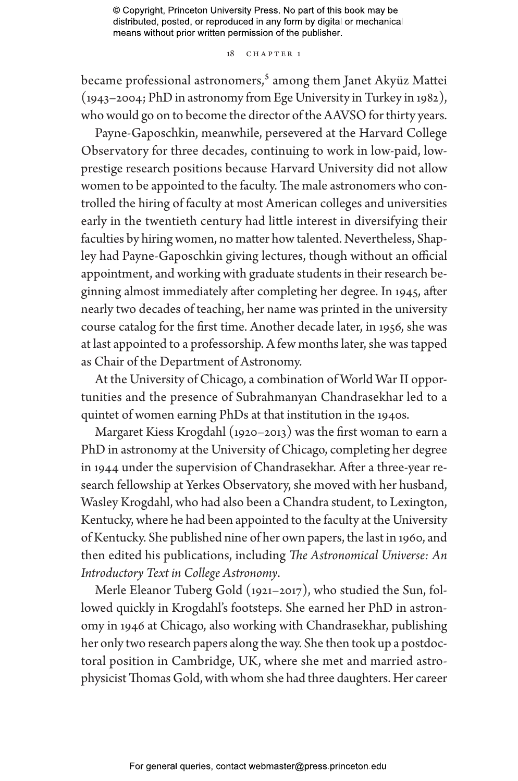#### 18 CHAPTER 1

became professional astronomers,<sup>5</sup> among them Janet Akyüz Mattei (1943–2004; PhD in astronomy from Ege University in Turkey in 1982), who would go on to become the director of the AAVSO for thirty years.

Payne-Gaposchkin, meanwhile, persevered at the Harvard College Observatory for three decades, continuing to work in low-paid, lowprestige research positions because Harvard University did not allow women to be appointed to the faculty. The male astronomers who controlled the hiring of faculty at most American colleges and universities early in the twentieth century had little interest in diversifying their faculties by hiring women, no matter how talented. Nevertheless, Shapley had Payne-Gaposchkin giving lectures, though without an official appointment, and working with graduate students in their research beginning almost immediately after completing her degree. In 1945, after nearly two decades of teaching, her name was printed in the university course catalog for the first time. Another decade later, in 1956, she was at last appointed to a professorship. A few months later, she was tapped as Chair of the Department of Astronomy.

At the University of Chicago, a combination of World War II opportunities and the presence of Subrahmanyan Chandrasekhar led to a quintet of women earning PhDs at that institution in the 1940s.

Margaret Kiess Krogdahl (1920–2013) was the first woman to earn a PhD in astronomy at the University of Chicago, completing her degree in 1944 under the supervision of Chandrasekhar. After a three-year research fellowship at Yerkes Observatory, she moved with her husband, Wasley Krogdahl, who had also been a Chandra student, to Lexington, Kentucky, where he had been appointed to the faculty at the University of Kentucky. She published nine of her own papers, the last in 1960, and then edited his publications, including *The Astronomical Universe: An Introductory Text in College Astronomy*.

Merle Eleanor Tuberg Gold (1921–2017), who studied the Sun, followed quickly in Krogdahl's footsteps. She earned her PhD in astronomy in 1946 at Chicago, also working with Chandrasekhar, publishing her only two research papers along the way. She then took up a postdoctoral position in Cambridge, UK, where she met and married astrophysicist Thomas Gold, with whom she had three daughters. Her career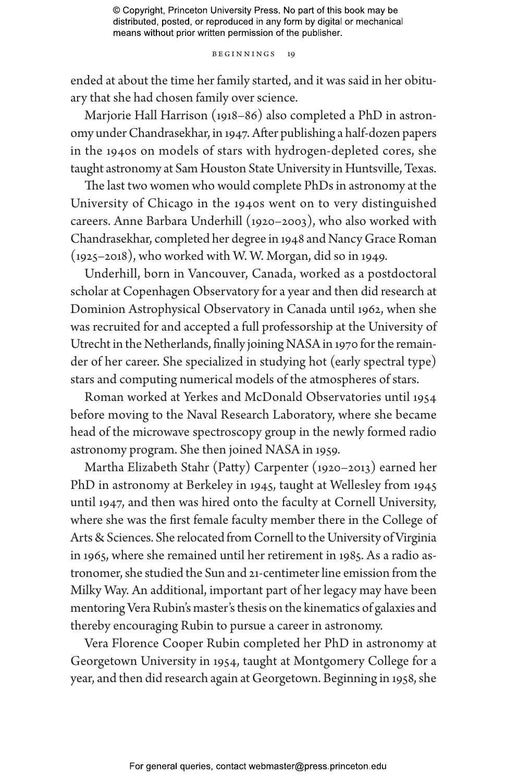#### Beginnings 19

ended at about the time her family started, and it was said in her obituary that she had chosen family over science.

Marjorie Hall Harrison (1918–86) also completed a PhD in astronomy under Chandrasekhar, in 1947. After publishing a half-dozen papers in the 1940s on models of stars with hydrogen-depleted cores, she taught astronomy at Sam Houston State University in Huntsville, Texas.

The last two women who would complete PhDs in astronomy at the University of Chicago in the 1940s went on to very distinguished careers. Anne Barbara Underhill (1920–2003), who also worked with Chandrasekhar, completed her degree in 1948 and Nancy Grace Roman (1925–2018), who worked with W. W. Morgan, did so in 1949.

Underhill, born in Vancouver, Canada, worked as a postdoctoral scholar at Copenhagen Observatory for a year and then did research at Dominion Astrophysical Observatory in Canada until 1962, when she was recruited for and accepted a full professorship at the University of Utrecht in the Netherlands, finally joining NASA in 1970 for the remainder of her career. She specialized in studying hot (early spectral type) stars and computing numerical models of the atmospheres of stars.

Roman worked at Yerkes and McDonald Observatories until 1954 before moving to the Naval Research Laboratory, where she became head of the microwave spectroscopy group in the newly formed radio astronomy program. She then joined NASA in 1959.

Martha Elizabeth Stahr (Patty) Carpenter (1920–2013) earned her PhD in astronomy at Berkeley in 1945, taught at Wellesley from 1945 until 1947, and then was hired onto the faculty at Cornell University, where she was the first female faculty member there in the College of Arts & Sciences. She relocated from Cornell to the University of Virginia in 1965, where she remained until her retirement in 1985. As a radio astronomer, she studied the Sun and 21-centimeter line emission from the Milky Way. An additional, important part of her legacy may have been mentoring Vera Rubin's master's thesis on the kinematics of galaxies and thereby encouraging Rubin to pursue a career in astronomy.

Vera Florence Cooper Rubin completed her PhD in astronomy at Georgetown University in 1954, taught at Montgomery College for a year, and then did research again at Georgetown. Beginning in 1958, she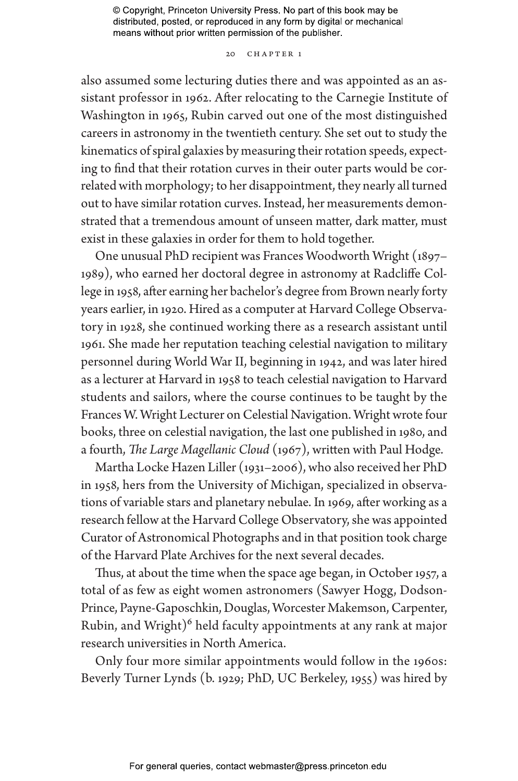### 20 CHAPTER 1

also assumed some lecturing duties there and was appointed as an assistant professor in 1962. After relocating to the Carnegie Institute of Washington in 1965, Rubin carved out one of the most distinguished careers in astronomy in the twentieth century. She set out to study the kinematics of spiral galaxies by measuring their rotation speeds, expecting to find that their rotation curves in their outer parts would be correlated with morphology; to her disappointment, they nearly all turned out to have similar rotation curves. Instead, her measurements demonstrated that a tremendous amount of unseen matter, dark matter, must exist in these galaxies in order for them to hold together.

One unusual PhD recipient was Frances Woodworth Wright (1897– 1989), who earned her doctoral degree in astronomy at Radcliffe College in 1958, after earning her bachelor's degree from Brown nearly forty years earlier, in 1920. Hired as a computer at Harvard College Observatory in 1928, she continued working there as a research assistant until 1961. She made her reputation teaching celestial navigation to military personnel during World War II, beginning in 1942, and was later hired as a lecturer at Harvard in 1958 to teach celestial navigation to Harvard students and sailors, where the course continues to be taught by the Frances W. Wright Lecturer on Celestial Navigation. Wright wrote four books, three on celestial navigation, the last one published in 1980, and a fourth, *The Large Magellanic Cloud* (1967), written with Paul Hodge.

Martha Locke Hazen Liller (1931–2006), who also received her PhD in 1958, hers from the University of Michigan, specialized in observations of variable stars and planetary nebulae. In 1969, after working as a research fellow at the Harvard College Observatory, she was appointed Curator of Astronomical Photographs and in that position took charge of the Harvard Plate Archives for the next several decades.

Thus, at about the time when the space age began, in October 1957, a total of as few as eight women astronomers (Sawyer Hogg, Dodson-Prince, Payne-Gaposchkin, Douglas, Worcester Makemson, Carpenter, Rubin, and Wright)<sup>6</sup> held faculty appointments at any rank at major research universities in North America.

Only four more similar appointments would follow in the 1960s: Beverly Turner Lynds (b. 1929; PhD, UC Berkeley, 1955) was hired by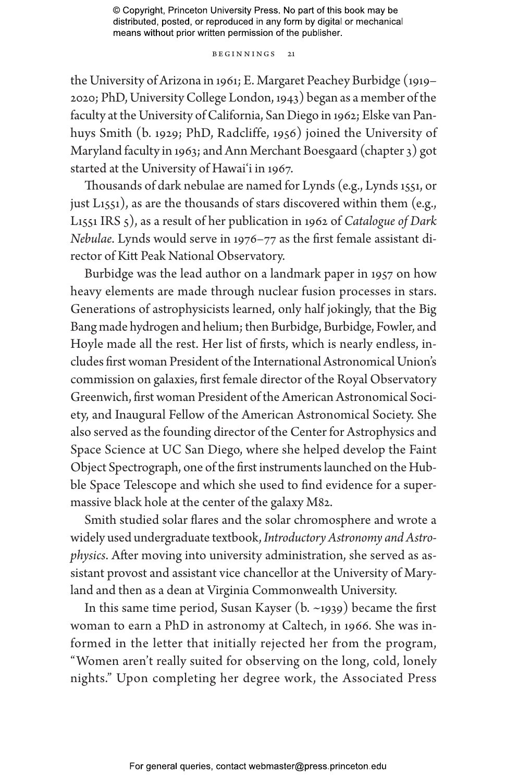Beginnings 21

the University of Arizona in 1961; E. Margaret Peachey Burbidge (1919– 2020; PhD, University College London, 1943) began as a member of the faculty at the University of California, San Diego in 1962; Elske van Panhuys Smith (b. 1929; PhD, Radcliffe, 1956) joined the University of Maryland faculty in 1963; and Ann Merchant Boesgaard (chapter 3) got started at the University of Hawai'i in 1967.

Thousands of dark nebulae are named for Lynds (e.g., Lynds 1551, or just L1551), as are the thousands of stars discovered within them (e.g., L1551 IRS 5), as a result of her publication in 1962 of *Catalogue of Dark Nebulae*. Lynds would serve in 1976–77 as the first female assistant director of Kitt Peak National Observatory.

Burbidge was the lead author on a landmark paper in 1957 on how heavy elements are made through nuclear fusion processes in stars. Generations of astrophysicists learned, only half jokingly, that the Big Bang made hydrogen and helium; then Burbidge, Burbidge, Fowler, and Hoyle made all the rest. Her list of firsts, which is nearly endless, includes first woman President of the International Astronomical Union's commission on galaxies, first female director of the Royal Observatory Greenwich, first woman President of the American Astronomical Society, and Inaugural Fellow of the American Astronomical Society. She also served as the founding director of the Center for Astrophysics and Space Science at UC San Diego, where she helped develop the Faint Object Spectrograph, one of the first instruments launched on the Hubble Space Telescope and which she used to find evidence for a supermassive black hole at the center of the galaxy M82.

Smith studied solar flares and the solar chromosphere and wrote a widely used undergraduate textbook, *Introductory Astronomy and Astrophysics*. After moving into university administration, she served as assistant provost and assistant vice chancellor at the University of Maryland and then as a dean at Virginia Commonwealth University.

In this same time period, Susan Kayser (b. ~1939) became the first woman to earn a PhD in astronomy at Caltech, in 1966. She was informed in the letter that initially rejected her from the program, "Women aren't really suited for observing on the long, cold, lonely nights." Upon completing her degree work, the Associated Press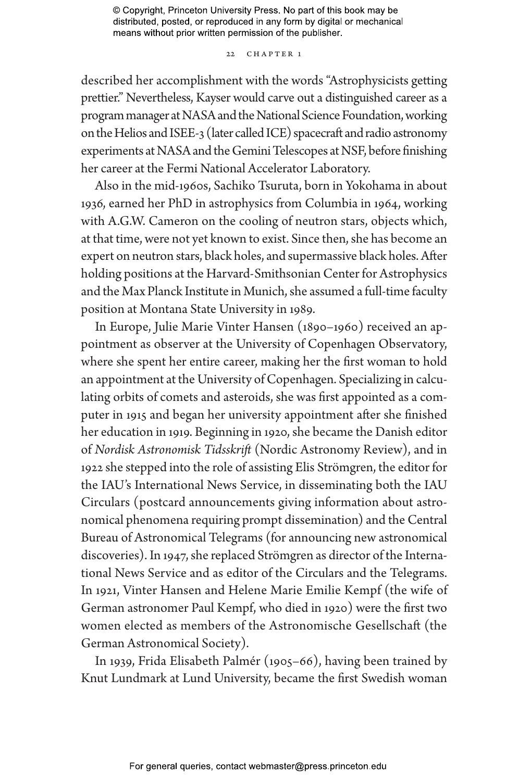22 CHAPTER 1

described her accomplishment with the words "Astrophysicists getting prettier." Nevertheless, Kayser would carve out a distinguished career as a program manager at NASA and the National Science Foundation, working on the Helios and ISEE-3 (later called ICE) spacecraft and radio astronomy experiments at NASA and the Gemini Telescopes at NSF, before finishing her career at the Fermi National Accelerator Laboratory.

Also in the mid-1960s, Sachiko Tsuruta, born in Yokohama in about 1936, earned her PhD in astrophysics from Columbia in 1964, working with A.G.W. Cameron on the cooling of neutron stars, objects which, at that time, were not yet known to exist. Since then, she has become an expert on neutron stars, black holes, and supermassive black holes. After holding positions at the Harvard-Smithsonian Center for Astrophysics and the Max Planck Institute in Munich, she assumed a full-time faculty position at Montana State University in 1989.

In Europe, Julie Marie Vinter Hansen (1890–1960) received an appointment as observer at the University of Copenhagen Observatory, where she spent her entire career, making her the first woman to hold an appointment at the University of Copenhagen. Specializing in calculating orbits of comets and asteroids, she was first appointed as a computer in 1915 and began her university appointment after she finished her education in 1919. Beginning in 1920, she became the Danish editor of *Nordisk Astronomisk Tidsskrift* (Nordic Astronomy Review), and in 1922 she stepped into the role of assisting Elis Strömgren, the editor for the IAU's International News Service, in disseminating both the IAU Circulars (postcard announcements giving information about astronomical phenomena requiring prompt dissemination) and the Central Bureau of Astronomical Telegrams (for announcing new astronomical discoveries). In 1947, she replaced Strömgren as director of the International News Service and as editor of the Circulars and the Telegrams. In 1921, Vinter Hansen and Helene Marie Emilie Kempf (the wife of German astronomer Paul Kempf, who died in 1920) were the first two women elected as members of the Astronomische Gesellschaft (the German Astronomical Society).

In 1939, Frida Elisabeth Palmér (1905–66), having been trained by Knut Lundmark at Lund University, became the first Swedish woman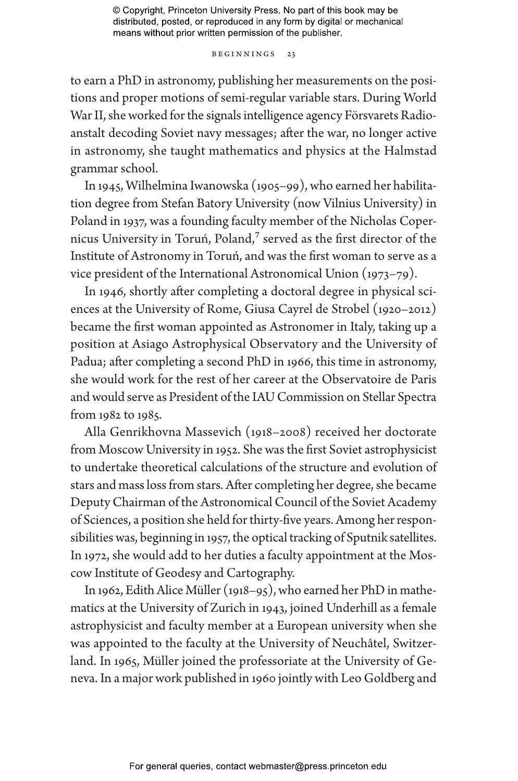Beginnings 23

to earn a PhD in astronomy, publishing her measurements on the positions and proper motions of semi-regular variable stars. During World War II, she worked for the signals intelligence agency Försvarets Radioanstalt decoding Soviet navy messages; after the war, no longer active in astronomy, she taught mathematics and physics at the Halmstad grammar school.

In 1945, Wilhelmina Iwanowska (1905–99), who earned her habilitation degree from Stefan Batory University (now Vilnius University) in Poland in 1937, was a founding faculty member of the Nicholas Copernicus University in Toruń, Poland,<sup>7</sup> served as the first director of the Institute of Astronomy in Toruń, and was the first woman to serve as a vice president of the International Astronomical Union (1973–79).

In 1946, shortly after completing a doctoral degree in physical sciences at the University of Rome, Giusa Cayrel de Strobel (1920–2012) became the first woman appointed as Astronomer in Italy, taking up a position at Asiago Astrophysical Observatory and the University of Padua; after completing a second PhD in 1966, this time in astronomy, she would work for the rest of her career at the Observatoire de Paris and would serve as President of the IAU Commission on Stellar Spectra from 1982 to 1985.

Alla Genrikhovna Massevich (1918–2008) received her doctorate from Moscow University in 1952. She was the first Soviet astrophysicist to undertake theoretical calculations of the structure and evolution of stars and mass loss from stars. After completing her degree, she became Deputy Chairman of the Astronomical Council of the Soviet Academy of Sciences, a position she held for thirty-five years. Among her responsibilities was, beginning in 1957, the optical tracking of Sputnik satellites. In 1972, she would add to her duties a faculty appointment at the Moscow Institute of Geodesy and Cartography.

In 1962, Edith Alice Müller (1918–95), who earned her PhD in mathematics at the University of Zurich in 1943, joined Underhill as a female astrophysicist and faculty member at a European university when she was appointed to the faculty at the University of Neuchâtel, Switzerland. In 1965, Müller joined the professoriate at the University of Geneva. In a major work published in 1960 jointly with Leo Goldberg and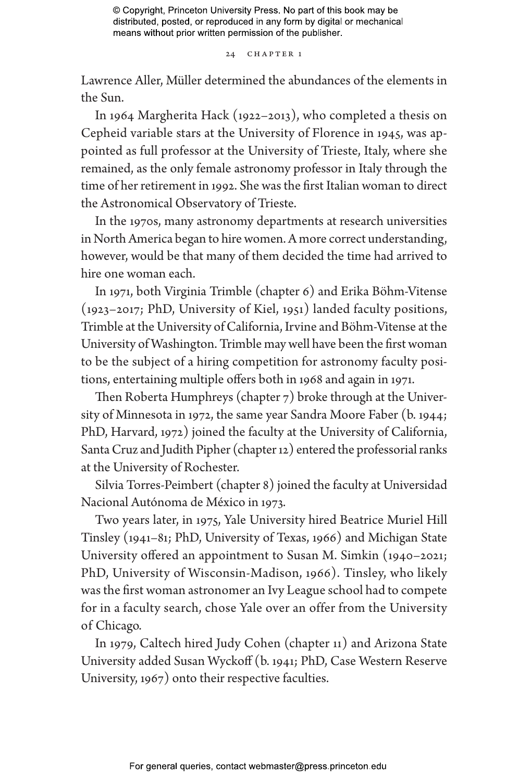24 CHAPTER 1

Lawrence Aller, Müller determined the abundances of the elements in the Sun.

In 1964 Margherita Hack (1922–2013), who completed a thesis on Cepheid variable stars at the University of Florence in 1945, was appointed as full professor at the University of Trieste, Italy, where she remained, as the only female astronomy professor in Italy through the time of her retirement in 1992. She was the first Italian woman to direct the Astronomical Observatory of Trieste.

In the 1970s, many astronomy departments at research universities in North America began to hire women. A more correct understanding, however, would be that many of them decided the time had arrived to hire one woman each.

In 1971, both Virginia Trimble (chapter 6) and Erika Böhm-Vitense (1923–2017; PhD, University of Kiel, 1951) landed faculty positions, Trimble at the University of California, Irvine and Böhm-Vitense at the University of Washington. Trimble may well have been the first woman to be the subject of a hiring competition for astronomy faculty positions, entertaining multiple offers both in 1968 and again in 1971.

Then Roberta Humphreys (chapter 7) broke through at the University of Minnesota in 1972, the same year Sandra Moore Faber (b. 1944; PhD, Harvard, 1972) joined the faculty at the University of California, Santa Cruz and Judith Pipher (chapter 12) entered the professorial ranks at the University of Rochester.

Silvia Torres-Peimbert (chapter 8) joined the faculty at Universidad Nacional Autónoma de México in 1973.

Two years later, in 1975, Yale University hired Beatrice Muriel Hill Tinsley (1941–81; PhD, University of Texas, 1966) and Michigan State University offered an appointment to Susan M. Simkin (1940–2021; PhD, University of Wisconsin-Madison, 1966). Tinsley, who likely was the first woman astronomer an Ivy League school had to compete for in a faculty search, chose Yale over an offer from the University of Chicago.

In 1979, Caltech hired Judy Cohen (chapter 11) and Arizona State University added Susan Wyckoff (b. 1941; PhD, Case Western Reserve University, 1967) onto their respective faculties.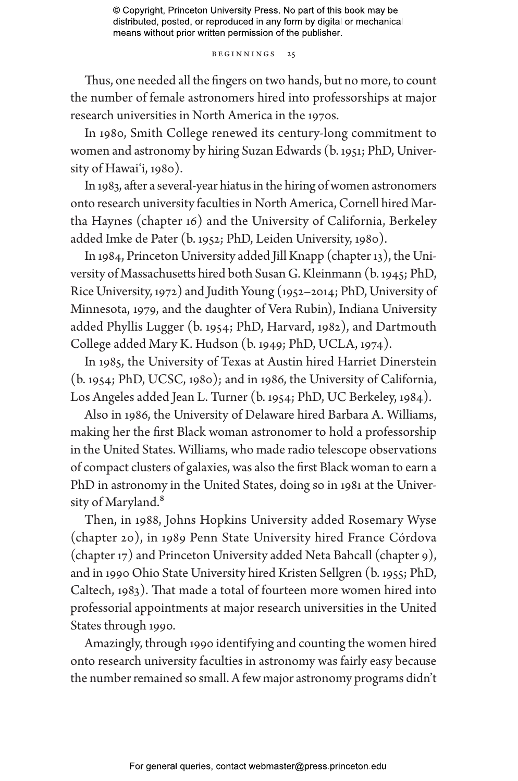Beginnings 25

Thus, one needed all the fingers on two hands, but no more, to count the number of female astronomers hired into professorships at major research universities in North America in the 1970s.

In 1980, Smith College renewed its century-long commitment to women and astronomy by hiring Suzan Edwards (b. 1951; PhD, University of Hawai'i, 1980).

In 1983, after a several-year hiatus in the hiring of women astronomers onto research university faculties in North America, Cornell hired Martha Haynes (chapter 16) and the University of California, Berkeley added Imke de Pater (b. 1952; PhD, Leiden University, 1980).

In 1984, Princeton University added Jill Knapp (chapter 13), the University of Massachusetts hired both Susan G. Kleinmann (b. 1945; PhD, Rice University, 1972) and Judith Young (1952–2014; PhD, University of Minnesota, 1979, and the daughter of Vera Rubin), Indiana University added Phyllis Lugger (b. 1954; PhD, Harvard, 1982), and Dartmouth College added Mary K. Hudson (b. 1949; PhD, UCLA, 1974).

In 1985, the University of Texas at Austin hired Harriet Dinerstein (b. 1954; PhD, UCSC, 1980); and in 1986, the University of California, Los Angeles added Jean L. Turner (b. 1954; PhD, UC Berkeley, 1984).

Also in 1986, the University of Delaware hired Barbara A. Williams, making her the first Black woman astronomer to hold a professorship in the United States. Williams, who made radio telescope observations of compact clusters of galaxies, was also the first Black woman to earn a PhD in astronomy in the United States, doing so in 1981 at the University of Maryland.<sup>8</sup>

Then, in 1988, Johns Hopkins University added Rosemary Wyse (chapter 20), in 1989 Penn State University hired France Córdova (chapter 17) and Princeton University added Neta Bahcall (chapter 9), and in 1990 Ohio State University hired Kristen Sellgren (b. 1955; PhD, Caltech, 1983). That made a total of fourteen more women hired into professorial appointments at major research universities in the United States through 1990.

Amazingly, through 1990 identifying and counting the women hired onto research university faculties in astronomy was fairly easy because the number remained so small. A few major astronomy programs didn't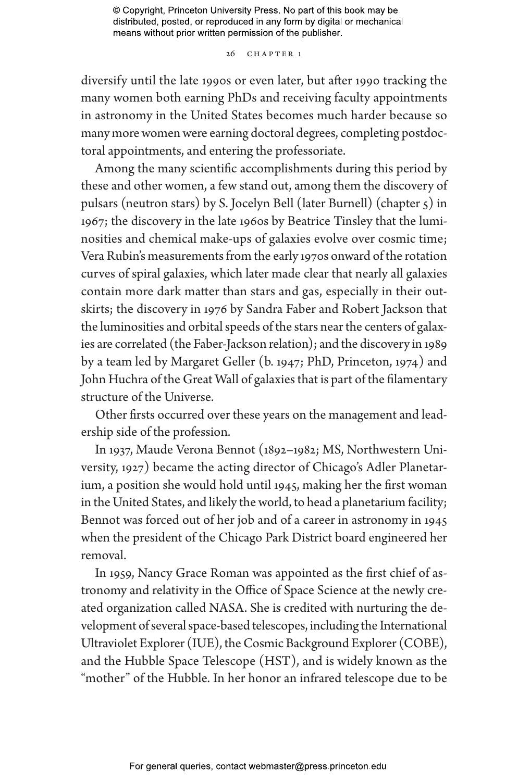#### 26 CHAPTER 1

diversify until the late 1990s or even later, but after 1990 tracking the many women both earning PhDs and receiving faculty appointments in astronomy in the United States becomes much harder because so many more women were earning doctoral degrees, completing postdoctoral appointments, and entering the professoriate.

Among the many scientific accomplishments during this period by these and other women, a few stand out, among them the discovery of pulsars (neutron stars) by S. Jocelyn Bell (later Burnell) (chapter 5) in 1967; the discovery in the late 1960s by Beatrice Tinsley that the luminosities and chemical make-ups of galaxies evolve over cosmic time; Vera Rubin's measurements from the early 1970s onward of the rotation curves of spiral galaxies, which later made clear that nearly all galaxies contain more dark matter than stars and gas, especially in their outskirts; the discovery in 1976 by Sandra Faber and Robert Jackson that the luminosities and orbital speeds of the stars near the centers of galaxies are correlated (the Faber-Jackson relation); and the discovery in 1989 by a team led by Margaret Geller (b. 1947; PhD, Princeton, 1974) and John Huchra of the Great Wall of galaxies that is part of the filamentary structure of the Universe.

Other firsts occurred over these years on the management and leadership side of the profession.

In 1937, Maude Verona Bennot (1892–1982; MS, Northwestern University, 1927) became the acting director of Chicago's Adler Planetarium, a position she would hold until 1945, making her the first woman in the United States, and likely the world, to head a planetarium facility; Bennot was forced out of her job and of a career in astronomy in 1945 when the president of the Chicago Park District board engineered her removal.

In 1959, Nancy Grace Roman was appointed as the first chief of astronomy and relativity in the Office of Space Science at the newly created organization called NASA. She is credited with nurturing the development of several space-based telescopes, including the International Ultraviolet Explorer (IUE), the Cosmic Background Explorer (COBE), and the Hubble Space Telescope (HST), and is widely known as the "mother" of the Hubble. In her honor an infrared telescope due to be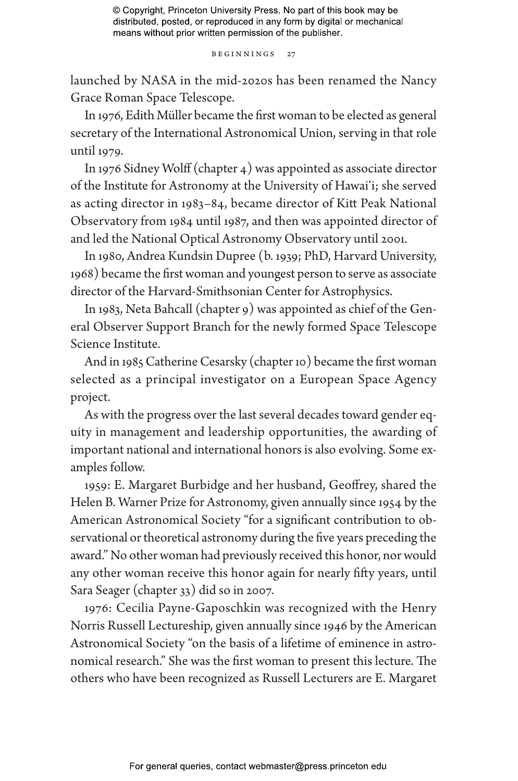Beginnings 27

launched by NASA in the mid-2020s has been renamed the Nancy Grace Roman Space Telescope.

In 1976, Edith Müller became the first woman to be elected as general secretary of the International Astronomical Union, serving in that role until 1979.

In 1976 Sidney Wolff (chapter 4) was appointed as associate director of the Institute for Astronomy at the University of Hawai'i; she served as acting director in 1983–84, became director of Kitt Peak National Observatory from 1984 until 1987, and then was appointed director of and led the National Optical Astronomy Observatory until 2001.

In 1980, Andrea Kundsin Dupree (b. 1939; PhD, Harvard University, 1968) became the first woman and youngest person to serve as associate director of the Harvard-Smithsonian Center for Astrophysics.

In 1983, Neta Bahcall (chapter 9) was appointed as chief of the General Observer Support Branch for the newly formed Space Telescope Science Institute.

And in 1985 Catherine Cesarsky (chapter 10) became the first woman selected as a principal investigator on a European Space Agency project.

As with the progress over the last several decades toward gender equity in management and leadership opportunities, the awarding of important national and international honors is also evolving. Some examples follow.

1959: E. Margaret Burbidge and her husband, Geoffrey, shared the Helen B. Warner Prize for Astronomy, given annually since 1954 by the American Astronomical Society "for a significant contribution to observational or theoretical astronomy during the five years preceding the award." No other woman had previously received this honor, nor would any other woman receive this honor again for nearly fifty years, until Sara Seager (chapter 33) did so in 2007.

1976: Cecilia Payne-Gaposchkin was recognized with the Henry Norris Russell Lectureship, given annually since 1946 by the American Astronomical Society "on the basis of a lifetime of eminence in astronomical research." She was the first woman to present this lecture. The others who have been recognized as Russell Lecturers are E. Margaret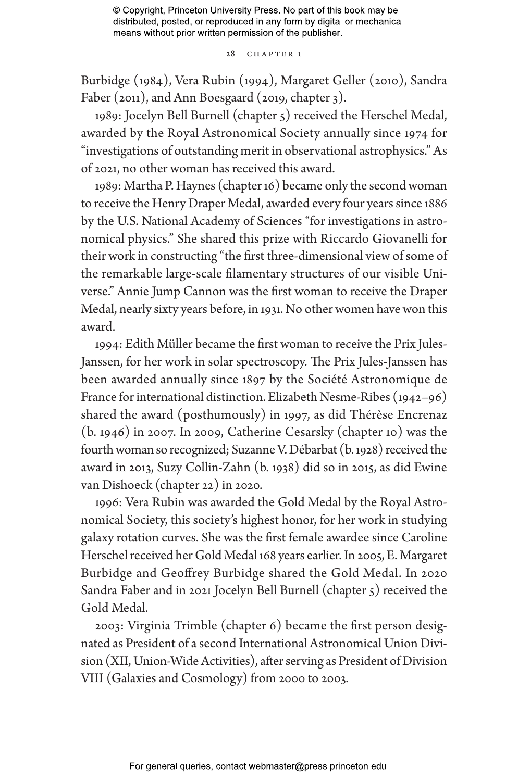28 CHAPTER 1

Burbidge (1984), Vera Rubin (1994), Margaret Geller (2010), Sandra Faber (2011), and Ann Boesgaard (2019, chapter 3).

1989: Jocelyn Bell Burnell (chapter 5) received the Herschel Medal, awarded by the Royal Astronomical Society annually since 1974 for "investigations of outstanding merit in observational astrophysics." As of 2021, no other woman has received this award.

1989: Martha P. Haynes (chapter 16) became only the second woman to receive the Henry Draper Medal, awarded every four years since 1886 by the U.S. National Academy of Sciences "for investigations in astronomical physics." She shared this prize with Riccardo Giovanelli for their work in constructing "the first three-dimensional view of some of the remarkable large-scale filamentary structures of our visible Universe." Annie Jump Cannon was the first woman to receive the Draper Medal, nearly sixty years before, in 1931. No other women have won this award.

1994: Edith Müller became the first woman to receive the Prix Jules-Janssen, for her work in solar spectroscopy. The Prix Jules-Janssen has been awarded annually since 1897 by the Société Astronomique de France for international distinction. Elizabeth Nesme-Ribes (1942–96) shared the award (posthumously) in 1997, as did Thérèse Encrenaz (b. 1946) in 2007. In 2009, Catherine Cesarsky (chapter 10) was the fourth woman so recognized; Suzanne V. Débarbat (b. 1928) received the award in 2013, Suzy Collin-Zahn (b. 1938) did so in 2015, as did Ewine van Dishoeck (chapter 22) in 2020.

1996: Vera Rubin was awarded the Gold Medal by the Royal Astronomical Society, this society's highest honor, for her work in studying galaxy rotation curves. She was the first female awardee since Caroline Herschel received her Gold Medal 168 years earlier. In 2005, E. Margaret Burbidge and Geoffrey Burbidge shared the Gold Medal. In 2020 Sandra Faber and in 2021 Jocelyn Bell Burnell (chapter 5) received the Gold Medal.

2003: Virginia Trimble (chapter 6) became the first person designated as President of a second International Astronomical Union Division (XII, Union-Wide Activities), after serving as President of Division VIII (Galaxies and Cosmology) from 2000 to 2003.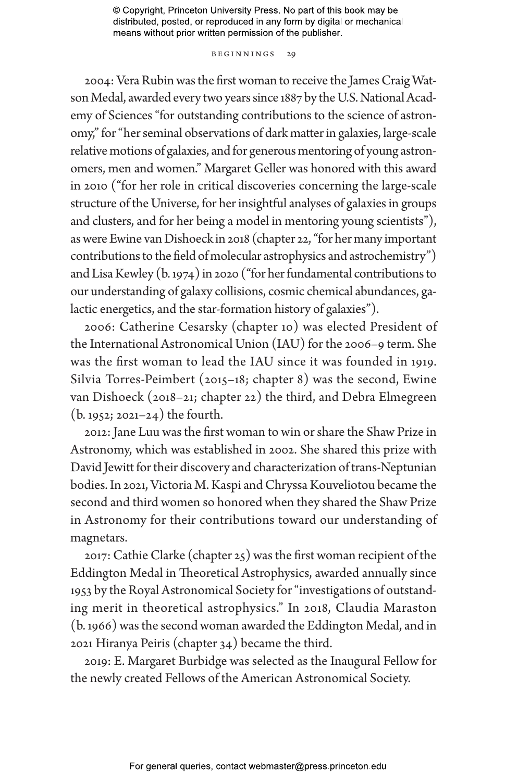#### Beginnings 29

2004: Vera Rubin was the first woman to receive the James Craig Watson Medal, awarded every two years since 1887 by the U.S. National Academy of Sciences "for outstanding contributions to the science of astronomy," for "her seminal observations of dark matter in galaxies, large-scale relative motions of galaxies, and for generous mentoring of young astronomers, men and women." Margaret Geller was honored with this award in 2010 ("for her role in critical discoveries concerning the large-scale structure of the Universe, for her insightful analyses of galaxies in groups and clusters, and for her being a model in mentoring young scientists"), as were Ewine van Dishoeck in 2018 (chapter 22, "for her many important contributions to the field of molecular astrophysics and astrochemistry") and Lisa Kewley (b. 1974) in 2020 ("for her fundamental contributions to our understanding of galaxy collisions, cosmic chemical abundances, galactic energetics, and the star-formation history of galaxies").

2006: Catherine Cesarsky (chapter 10) was elected President of the International Astronomical Union (IAU) for the 2006–9 term. She was the first woman to lead the IAU since it was founded in 1919. Silvia Torres-Peimbert (2015–18; chapter 8) was the second, Ewine van Dishoeck (2018–21; chapter 22) the third, and Debra Elmegreen (b. 1952; 2021–24) the fourth.

2012: Jane Luu was the first woman to win or share the Shaw Prize in Astronomy, which was established in 2002. She shared this prize with David Jewitt for their discovery and characterization of trans-Neptunian bodies. In 2021, Victoria M. Kaspi and Chryssa Kouveliotou became the second and third women so honored when they shared the Shaw Prize in Astronomy for their contributions toward our understanding of magnetars.

2017: Cathie Clarke (chapter 25) was the first woman recipient of the Eddington Medal in Theoretical Astrophysics, awarded annually since 1953 by the Royal Astronomical Society for "investigations of outstanding merit in theoretical astrophysics." In 2018, Claudia Maraston (b. 1966) was the second woman awarded the Eddington Medal, and in 2021 Hiranya Peiris (chapter 34) became the third.

2019: E. Margaret Burbidge was selected as the Inaugural Fellow for the newly created Fellows of the American Astronomical Society.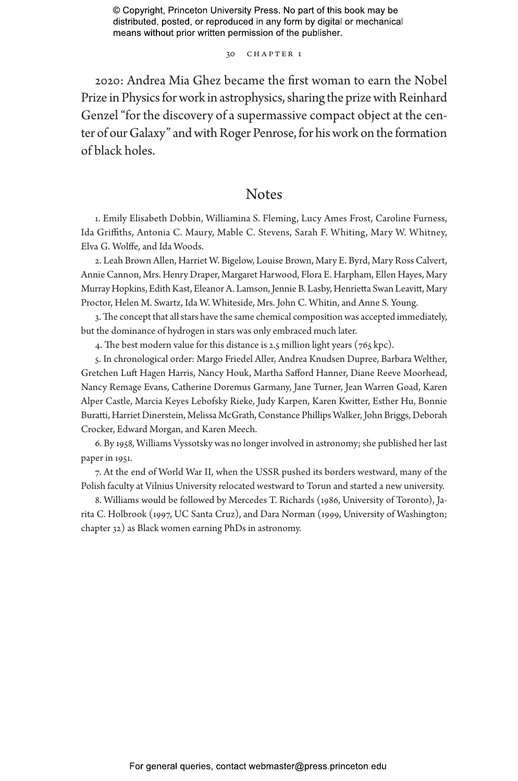30 CHAPTER 1

2020: Andrea Mia Ghez became the first woman to earn the Nobel Prize in Physics for work in astrophysics, sharing the prize with Reinhard Genzel "for the discovery of a supermassive compact object at the center of our Galaxy" and with Roger Penrose, for his work on the formation of black holes.

# **Notes**

1. Emily Elisabeth Dobbin, Williamina S. Fleming, Lucy Ames Frost, Caroline Furness, Ida Griffiths, Antonia C. Maury, Mable C. Stevens, Sarah F. Whiting, Mary W. Whitney, Elva G. Wolffe, and Ida Woods.

2. Leah Brown Allen, Harriet W. Bigelow, Louise Brown, Mary E. Byrd, Mary Ross Calvert, Annie Cannon, Mrs. Henry Draper, Margaret Harwood, Flora E. Harpham, Ellen Hayes, Mary Murray Hopkins, Edith Kast, Eleanor A. Lamson, Jennie B. Lasby, Henrietta Swan Leavitt, Mary Proctor, Helen M. Swartz, Ida W. Whiteside, Mrs. John C. Whitin, and Anne S. Young.

3. The concept that all stars have the same chemical composition was accepted immediately, but the dominance of hydrogen in stars was only embraced much later.

4. The best modern value for this distance is 2.5 million light years (765 kpc).

5. In chronological order: Margo Friedel Aller, Andrea Knudsen Dupree, Barbara Welther, Gretchen Luft Hagen Harris, Nancy Houk, Martha Safford Hanner, Diane Reeve Moorhead, Nancy Remage Evans, Catherine Doremus Garmany, Jane Turner, Jean Warren Goad, Karen Alper Castle, Marcia Keyes Lebofsky Rieke, Judy Karpen, Karen Kwitter, Esther Hu, Bonnie Buratti, Harriet Dinerstein, Melissa McGrath, Constance Phillips Walker, John Briggs, Deborah Crocker, Edward Morgan, and Karen Meech.

6. By 1958, Williams Vyssotsky was no longer involved in astronomy; she published her last paper in 1951.

7. At the end of World War II, when the USSR pushed its borders westward, many of the Polish faculty at Vilnius University relocated westward to Torun and started a new university.

8. Williams would be followed by Mercedes T. Richards (1986, University of Toronto), Jarita C. Holbrook (1997, UC Santa Cruz), and Dara Norman (1999, University of Washington; chapter 32) as Black women earning PhDs in astronomy.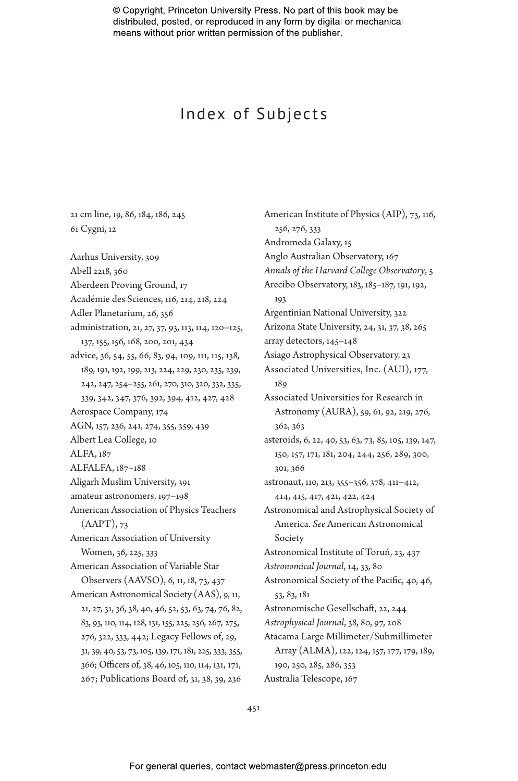# Index of Subjects

21 cm line, 19, 86, 184, 186, 245 61 Cygni, 12 Aarhus University, 309 Abell 2218, 360 Aberdeen Proving Ground, 17 Académie des Sciences, 116, 214, 218, 224 Adler Planetarium, 26, 356 administration, 21, 27, 37, 93, 113, 114, 120–125, 137, 155, 156, 168, 200, 201, 434 advice, 36, 54, 55, 66, 83, 94, 109, 111, 115, 138, 189, 191, 192, 199, 213, 224, 229, 230, 235, 239, 242, 247, 254–255, 261, 270, 310, 320, 332, 335, 339, 342, 347, 376, 392, 394, 412, 427, 428 Aerospace Company, 174 AGN, 157, 236, 241, 274, 355, 359, 439 Albert Lea College, 10 ALFA, 187 ALFALFA, 187–188 Aligarh Muslim University, 391 amateur astronomers, 197–198 American Association of Physics Teachers  $(AAPT)$ , 73 American Association of University Women, 36, 225, 333 American Association of Variable Star Observers (AAVSO), 6, 11, 18, 73, 437 American Astronomical Society (AAS), 9, 11, 21, 27, 31, 36, 38, 40, 46, 52, 53, 63, 74, 76, 82, 83, 93, 110, 114, 128, 131, 155, 225, 256, 267, 275, 276, 322, 333, 442; Legacy Fellows of, 29, 31, 39, 40, 53, 73, 105, 139, 171, 181, 225, 333, 355, 366; Officers of, 38, 46, 105, 110, 114, 131, 171, 267; Publications Board of, 31, 38, 39, 236

American Institute of Physics (AIP), 73, 116, 256, 276, 333 Andromeda Galaxy, 15 Anglo Australian Observatory, 167 *Annals of the Harvard College Observatory*, 5 Arecibo Observatory, 183, 185–187, 191, 192, 193 Argentinian National University, 322 Arizona State University, 24, 31, 37, 38, 265 array detectors, 145–148 Asiago Astrophysical Observatory, 23 Associated Universities, Inc. (AUI), 177, 189 Associated Universities for Research in Astronomy (AURA), 59, 61, 92, 219, 276, 362, 363 asteroids, 6, 22, 40, 53, 63, 73, 85, 105, 139, 147, 150, 157, 171, 181, 204, 244, 256, 289, 300, 301, 366 astronaut, 110, 213, 355–356, 378, 411–412, 414, 415, 417, 421, 422, 424 Astronomical and Astrophysical Society of America. *See* American Astronomical Society Astronomical Institute of Toruń, 23, 437 *Astronomical Journal*, 14, 33, 80 Astronomical Society of the Pacific, 40, 46, 53, 83, 181 Astronomische Gesellschaft, 22, 244 *Astrophysical Journal*, 38, 80, 97, 208 Atacama Large Millimeter/Submillimeter Array (ALMA), 122, 124, 157, 177, 179, 189, 190, 250, 285, 286, 353 Australia Telescope, 167

451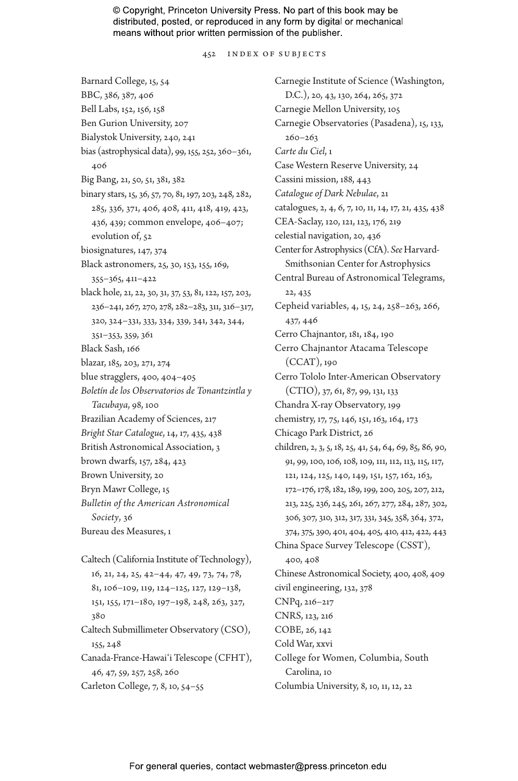452 Index of Subjects

Barnard College, 15, 54 BBC, 386, 387, 406 Bell Labs, 152, 156, 158 Ben Gurion University, 207 Bialystok University, 240, 241 bias (astrophysical data), 99, 155, 252, 360–361, 406 Big Bang, 21, 50, 51, 381, 382 binary stars, 15, 36, 57, 70, 81, 197, 203, 248, 282, 285, 336, 371, 406, 408, 411, 418, 419, 423, 436, 439; common envelope, 406–407; evolution of, 52 biosignatures, 147, 374 Black astronomers, 25, 30, 153, 155, 169, 355–365, 411–422 black hole, 21, 22, 30, 31, 37, 53, 81, 122, 157, 203, 236–241, 267, 270, 278, 282–283, 311, 316–317, 320, 324–331, 333, 334, 339, 341, 342, 344, 351–353, 359, 361 Black Sash, 166 blazar, 185, 203, 271, 274 blue stragglers, 400, 404–405 *Boletín de los Observatorios de Tonantzintla y Tacubaya*, 98, 100 Brazilian Academy of Sciences, 217 *Bright Star Catalogue*, 14, 17, 435, 438 British Astronomical Association, 3 brown dwarfs, 157, 284, 423 Brown University, 20 Bryn Mawr College, 15 *Bulletin of the American Astronomical Society*, 36 Bureau des Measures, 1 Caltech (California Institute of Technology), 16, 21, 24, 25, 42–44, 47, 49, 73, 74, 78, 81, 106–109, 119, 124–125, 127, 129–138, 151, 155, 171–180, 197–198, 248, 263, 327, 380 Caltech Submillimeter Observatory (CSO), 155, 248 Canada-France-Hawaiʻi Telescope (CFHT), 46, 47, 59, 257, 258, 260 Carleton College, 7, 8, 10, 54–55

Carnegie Institute of Science (Washington, D.C.), 20, 43, 130, 264, 265, 372 Carnegie Mellon University, 105 Carnegie Observatories (Pasadena), 15, 133, 260–263 *Carte du Ciel*, 1 Case Western Reserve University, 24 Cassini mission, 188, 443 *Catalogue of Dark Nebulae*, 21 catalogues, 2, 4, 6, 7, 10, 11, 14, 17, 21, 435, 438 CEA-Saclay, 120, 121, 123, 176, 219 celestial navigation, 20, 436 Center for Astrophysics (CfA). *See* Harvard-Smithsonian Center for Astrophysics Central Bureau of Astronomical Telegrams, 22, 435 Cepheid variables, 4, 15, 24, 258–263, 266, 437, 446 Cerro Chajnantor, 181, 184, 190 Cerro Chajnantor Atacama Telescope (CCAT), 190 Cerro Tololo Inter-American Observatory (CTIO), 37, 61, 87, 99, 131, 133 Chandra X-ray Observatory, 199 chemistry, 17, 75, 146, 151, 163, 164, 173 Chicago Park District, 26 children, 2, 3, 5, 18, 25, 41, 54, 64, 69, 85, 86, 90, 91, 99, 100, 106, 108, 109, 111, 112, 113, 115, 117, 121, 124, 125, 140, 149, 151, 157, 162, 163, 172–176, 178, 182, 189, 199, 200, 205, 207, 212, 213, 225, 236, 245, 261, 267, 277, 284, 287, 302, 306, 307, 310, 312, 317, 331, 345, 358, 364, 372, 374, 375, 390, 401, 404, 405, 410, 412, 422, 443 China Space Survey Telescope (CSST), 400, 408 Chinese Astronomical Society, 400, 408, 409 civil engineering, 132, 378 CNPq, 216–217 CNRS, 123, 216 COBE, 26, 142 Cold War, xxvi College for Women, Columbia, South Carolina, 10 Columbia University, 8, 10, 11, 12, 22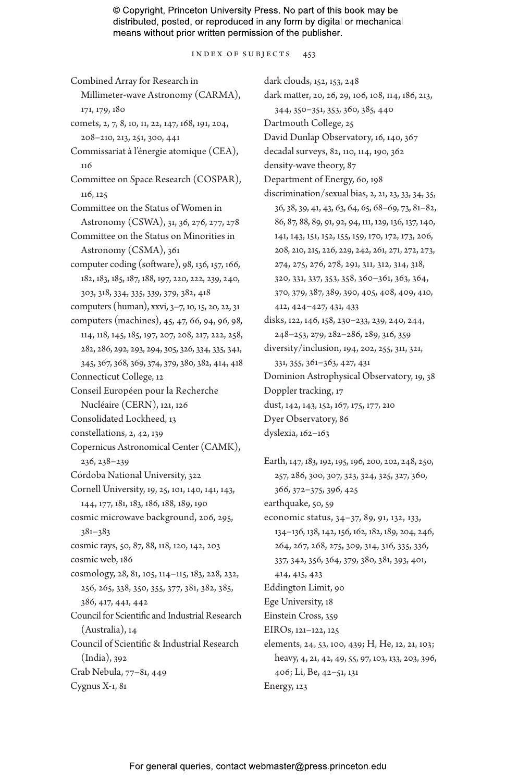Index of Subjects 453

Combined Array for Research in Millimeter-wave Astronomy (CARMA), 171, 179, 180 comets, 2, 7, 8, 10, 11, 22, 147, 168, 191, 204, 208–210, 213, 251, 300, 441 Commissariat à l'énergie atomique (CEA), 116 Committee on Space Research (COSPAR), 116, 125 Committee on the Status of Women in Astronomy (CSWA), 31, 36, 276, 277, 278 Committee on the Status on Minorities in Astronomy (CSMA), 361 computer coding (software), 98, 136, 157, 166, 182, 183, 185, 187, 188, 197, 220, 222, 239, 240, 303, 318, 334, 335, 339, 379, 382, 418 computers (human), xxvi, 3–7, 10, 15, 20, 22, 31 computers (machines), 45, 47, 66, 94, 96, 98, 114, 118, 145, 185, 197, 207, 208, 217, 222, 258, 282, 286, 292, 293, 294, 305, 326, 334, 335, 341, 345, 367, 368, 369, 374, 379, 380, 382, 414, 418 Connecticut College, 12 Conseil Européen pour la Recherche Nucléaire (CERN), 121, 126 Consolidated Lockheed, 13 constellations, 2, 42, 139 Copernicus Astronomical Center (CAMK), 236, 238–239 Córdoba National University, 322 Cornell University, 19, 25, 101, 140, 141, 143, 144, 177, 181, 183, 186, 188, 189, 190 cosmic microwave background, 206, 295, 381–383 cosmic rays, 50, 87, 88, 118, 120, 142, 203 cosmic web, 186 cosmology, 28, 81, 105, 114–115, 183, 228, 232, 256, 265, 338, 350, 355, 377, 381, 382, 385, 386, 417, 441, 442 Council for Scientific and Industrial Research (Australia), 14 Council of Scientific & Industrial Research (India), 392 Crab Nebula, 77–81, 449 Cygnus X-1, 81

dark clouds, 152, 153, 248 dark matter, 20, 26, 29, 106, 108, 114, 186, 213, 344, 350–351, 353, 360, 385, 440 Dartmouth College, 25 David Dunlap Observatory, 16, 140, 367 decadal surveys, 82, 110, 114, 190, 362 density-wave theory, 87 Department of Energy, 60, 198 discrimination/sexual bias, 2, 21, 23, 33, 34, 35, 36, 38, 39, 41, 43, 63, 64, 65, 68–69, 73, 81–82, 86, 87, 88, 89, 91, 92, 94, 111, 129, 136, 137, 140, 141, 143, 151, 152, 155, 159, 170, 172, 173, 206, 208, 210, 215, 226, 229, 242, 261, 271, 272, 273, 274, 275, 276, 278, 291, 311, 312, 314, 318, 320, 331, 337, 353, 358, 360–361, 363, 364, 370, 379, 387, 389, 390, 405, 408, 409, 410, 412, 424–427, 431, 433 disks, 122, 146, 158, 230–233, 239, 240, 244, 248–253, 279, 282–286, 289, 316, 359 diversity/inclusion, 194, 202, 255, 311, 321, 331, 355, 361–363, 427, 431 Dominion Astrophysical Observatory, 19, 38 Doppler tracking, 17 dust, 142, 143, 152, 167, 175, 177, 210 Dyer Observatory, 86 dyslexia, 162–163 Earth, 147, 183, 192, 195, 196, 200, 202, 248, 250, 257, 286, 300, 307, 323, 324, 325, 327, 360, 366, 372–375, 396, 425 earthquake, 50, 59

economic status, 34–37, 89, 91, 132, 133, 134–136, 138, 142, 156, 162, 182, 189, 204, 246, 264, 267, 268, 275, 309, 314, 316, 335, 336, 337, 342, 356, 364, 379, 380, 381, 393, 401, 414, 415, 423 Eddington Limit, 90 Ege University, 18 Einstein Cross, 359 EIROs, 121–122, 125 elements, 24, 53, 100, 439; H, He, 12, 21, 103; heavy, 4, 21, 42, 49, 55, 97, 103, 133, 203, 396, 406; Li, Be, 42–51, 131 Energy, 123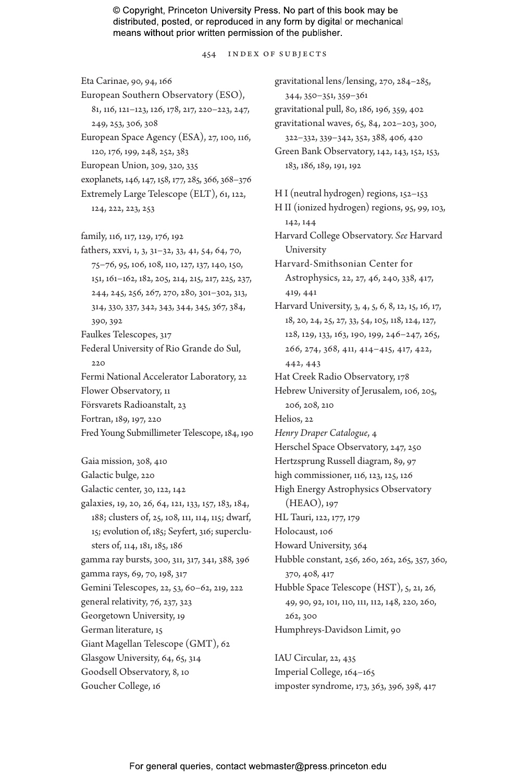454 Index of Subjects

Eta Carinae, 90, 94, 166 European Southern Observatory (ESO), 81, 116, 121–123, 126, 178, 217, 220–223, 247, 249, 253, 306, 308 European Space Agency (ESA), 27, 100, 116, 120, 176, 199, 248, 252, 383 European Union, 309, 320, 335 exoplanets, 146, 147, 158, 177, 285, 366, 368–376 Extremely Large Telescope (ELT), 61, 122, 124, 222, 223, 253 family, 116, 117, 129, 176, 192 fathers, xxvi, 1, 3, 31–32, 33, 41, 54, 64, 70, 75–76, 95, 106, 108, 110, 127, 137, 140, 150, 151, 161–162, 182, 205, 214, 215, 217, 225, 237, 244, 245, 256, 267, 270, 280, 301–302, 313, 314, 330, 337, 342, 343, 344, 345, 367, 384, 390, 392 Faulkes Telescopes, 317 Federal University of Rio Grande do Sul, 220 Fermi National Accelerator Laboratory, 22 Flower Observatory, 11 Försvarets Radioanstalt, 23 Fortran, 189, 197, 220 Fred Young Submillimeter Telescope, 184, 190 Gaia mission, 308, 410 Galactic bulge, 220 Galactic center, 30, 122, 142 galaxies, 19, 20, 26, 64, 121, 133, 157, 183, 184, 188; clusters of, 25, 108, 111, 114, 115; dwarf, 15; evolution of, 185; Seyfert, 316; superclusters of, 114, 181, 185, 186 gamma ray bursts, 300, 311, 317, 341, 388, 396 gamma rays, 69, 70, 198, 317 Gemini Telescopes, 22, 53, 60–62, 219, 222 general relativity, 76, 237, 323 Georgetown University, 19 German literature, 15 Giant Magellan Telescope (GMT), 62 Glasgow University, 64, 65, 314 Goodsell Observatory, 8, 10 Goucher College, 16

322–332, 339–342, 352, 388, 406, 420 Green Bank Observatory, 142, 143, 152, 153, 183, 186, 189, 191, 192 H I (neutral hydrogen) regions, 152–153 H II (ionized hydrogen) regions, 95, 99, 103, 142, 144 Harvard College Observatory. *See* Harvard University Harvard-Smithsonian Center for Astrophysics, 22, 27, 46, 240, 338, 417, 419, 441 Harvard University, 3, 4, 5, 6, 8, 12, 15, 16, 17, 18, 20, 24, 25, 27, 33, 54, 105, 118, 124, 127, 128, 129, 133, 163, 190, 199, 246–247, 265, 266, 274, 368, 411, 414–415, 417, 422, 442, 443 Hat Creek Radio Observatory, 178 Hebrew University of Jerusalem, 106, 205, 206, 208, 210 Helios, 22 *Henry Draper Catalogue*, 4 Herschel Space Observatory, 247, 250 Hertzsprung Russell diagram, 89, 97 high commissioner, 116, 123, 125, 126 High Energy Astrophysics Observatory (HEAO), 197 HL Tauri, 122, 177, 179 Holocaust, 106 Howard University, 364 Hubble constant, 256, 260, 262, 265, 357, 360, 370, 408, 417 Hubble Space Telescope (HST), 5, 21, 26, 49, 90, 92, 101, 110, 111, 112, 148, 220, 260, 262, 300 Humphreys-Davidson Limit, 90 IAU Circular, 22, 435

gravitational lens/lensing, 270, 284–285,

gravitational pull, 80, 186, 196, 359, 402 gravitational waves, 65, 84, 202–203, 300,

344, 350–351, 359–361

Imperial College, 164–165 imposter syndrome, 173, 363, 396, 398, 417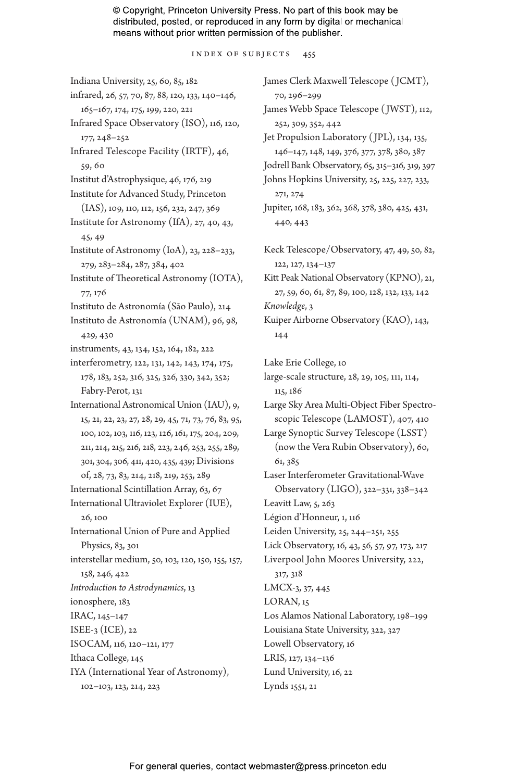Index of Subjects 455

Indiana University, 25, 60, 85, 182 infrared, 26, 57, 70, 87, 88, 120, 133, 140–146, 165–167, 174, 175, 199, 220, 221 Infrared Space Observatory (ISO), 116, 120, 177, 248–252 Infrared Telescope Facility (IRTF), 46, 59, 60 Institut d'Astrophysique, 46, 176, 219 Institute for Advanced Study, Princeton (IAS), 109, 110, 112, 156, 232, 247, 369 Institute for Astronomy (IfA), 27, 40, 43, 45, 49 Institute of Astronomy (IoA), 23, 228–233, 279, 283–284, 287, 384, 402 Institute of Theoretical Astronomy (IOTA), 77, 176 Instituto de Astronomía (São Paulo), 214 Instituto de Astronomía (UNAM), 96, 98, 429, 430 instruments, 43, 134, 152, 164, 182, 222 interferometry, 122, 131, 142, 143, 174, 175, 178, 183, 252, 316, 325, 326, 330, 342, 352; Fabry-Perot, 131 International Astronomical Union (IAU), 9, 15, 21, 22, 23, 27, 28, 29, 45, 71, 73, 76, 83, 95, 100, 102, 103, 116, 123, 126, 161, 175, 204, 209, 211, 214, 215, 216, 218, 223, 246, 253, 255, 289, 301, 304, 306, 411, 420, 435, 439; Divisions of, 28, 73, 83, 214, 218, 219, 253, 289 International Scintillation Array, 63, 67 International Ultraviolet Explorer (IUE), 26, 100 International Union of Pure and Applied Physics, 83, 301 interstellar medium, 50, 103, 120, 150, 155, 157, 158, 246, 422 *Introduction to Astrodynamics*, 13 ionosphere, 183 IRAC, 145–147 ISEE-3 (ICE), 22 ISOCAM, 116, 120–121, 177 Ithaca College, 145 IYA (International Year of Astronomy), 102–103, 123, 214, 223

James Clerk Maxwell Telescope ( JCMT), 70, 296–299 James Webb Space Telescope ( JWST), 112, 252, 309, 352, 442 Jet Propulsion Laboratory ( JPL), 134, 135, 146–147, 148, 149, 376, 377, 378, 380, 387 Jodrell Bank Observatory, 65, 315–316, 319, 397 Johns Hopkins University, 25, 225, 227, 233, 271, 274 Jupiter, 168, 183, 362, 368, 378, 380, 425, 431, 440, 443 Keck Telescope/Observatory, 47, 49, 50, 82, 122, 127, 134–137 Kitt Peak National Observatory (KPNO), 21, 27, 59, 60, 61, 87, 89, 100, 128, 132, 133, 142 *Knowledge*, 3 Kuiper Airborne Observatory (KAO), 143, 144 Lake Erie College, 10 large-scale structure, 28, 29, 105, 111, 114, 115, 186 Large Sky Area Multi-Object Fiber Spectroscopic Telescope (LAMOST), 407, 410 Large Synoptic Survey Telescope (LSST) (now the Vera Rubin Observatory), 60, 61, 385 Laser Interferometer Gravitational-Wave Observatory (LIGO), 322–331, 338–342 Leavitt Law, 5, 263 Légion d'Honneur, 1, 116 Leiden University, 25, 244–251, 255 Lick Observatory, 16, 43, 56, 57, 97, 173, 217 Liverpool John Moores University, 222, 317, 318 LMCX-3, 37, 445 LORAN, 15 Los Alamos National Laboratory, 198–199 Louisiana State University, 322, 327 Lowell Observatory, 16 LRIS, 127, 134–136 Lund University, 16, 22 Lynds 1551, 21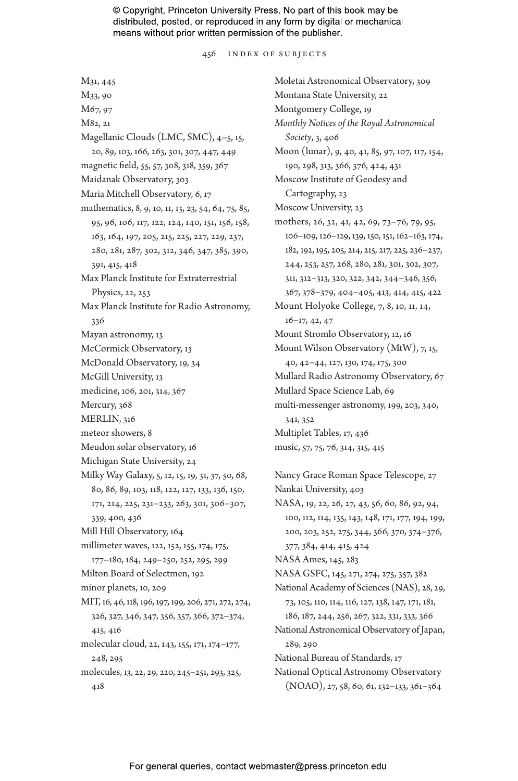456 Index of Subjects

M31, 445 M33, 90 M67, 97 M82, 21 Magellanic Clouds (LMC, SMC), 4–5, 15, 20, 89, 103, 166, 263, 301, 307, 447, 449 magnetic field, 55, 57, 308, 318, 359, 367 Maidanak Observatory, 303 Maria Mitchell Observatory, 6, 17 mathematics, 8, 9, 10, 11, 13, 23, 54, 64, 75, 85, 95, 96, 106, 117, 122, 124, 140, 151, 156, 158, 163, 164, 197, 205, 215, 225, 227, 229, 237, 280, 281, 287, 302, 312, 346, 347, 385, 390, 391, 415, 418 Max Planck Institute for Extraterrestrial Physics, 22, 253 Max Planck Institute for Radio Astronomy, 336 Mayan astronomy, 13 McCormick Observatory, 13 McDonald Observatory, 19, 34 McGill University, 13 medicine, 106, 201, 314, 367 Mercury, 368 MERLIN, 316 meteor showers, 8 Meudon solar observatory, 16 Michigan State University, 24 Milky Way Galaxy, 5, 12, 15, 19, 31, 37, 50, 68, 80, 86, 89, 103, 118, 122, 127, 133, 136, 150, 171, 214, 225, 231–233, 263, 301, 306–307, 339, 400, 436 Mill Hill Observatory, 164 millimeter waves, 122, 152, 155, 174, 175, 177–180, 184, 249–250, 252, 295, 299 Milton Board of Selectmen, 192 minor planets, 10, 209 MIT, 16, 46, 118, 196, 197, 199, 206, 271, 272, 274, 326, 327, 346, 347, 356, 357, 366, 372–374, 415, 416 molecular cloud, 22, 143, 155, 171, 174–177, 248, 295 molecules, 13, 22, 29, 220, 245–251, 293, 325, 418

Moletai Astronomical Observatory, 309 Montana State University, 22 Montgomery College, 19 *Monthly Notices of the Royal Astronomical Society*, 3, 406 Moon (lunar), 9, 40, 41, 85, 97, 107, 117, 154, 190, 298, 313, 366, 376, 424, 431 Moscow Institute of Geodesy and Cartography, 23 Moscow University, 23 mothers, 26, 32, 41, 42, 69, 73–76, 79, 95, 106–109, 126–129, 139, 150, 151, 162–163, 174, 182, 192, 195, 205, 214, 215, 217, 225, 236–237, 244, 253, 257, 268, 280, 281, 301, 302, 307, 311, 312–313, 320, 322, 342, 344–346, 356, 367, 378–379, 404–405, 413, 414, 415, 422 Mount Holyoke College, 7, 8, 10, 11, 14, 16–17, 42, 47 Mount Stromlo Observatory, 12, 16 Mount Wilson Observatory (MtW), 7, 15, 40, 42–44, 127, 130, 174, 175, 300 Mullard Radio Astronomy Observatory, 67 Mullard Space Science Lab, 69 multi-messenger astronomy, 199, 203, 340, 341, 352 Multiplet Tables, 17, 436 music, 57, 75, 76, 314, 315, 415 Nancy Grace Roman Space Telescope, 27 Nankai University, 403 NASA, 19, 22, 26, 27, 43, 56, 60, 86, 92, 94,

100, 112, 114, 135, 143, 148, 171, 177, 194, 199, 200, 203, 252, 275, 344, 366, 370, 374–376, 377, 384, 414, 415, 424 NASA Ames, 145, 283 NASA GSFC, 145, 271, 274, 275, 357, 382 National Academy of Sciences (NAS), 28, 29, 73, 105, 110, 114, 116, 127, 138, 147, 171, 181, 186, 187, 244, 256, 267, 322, 331, 333, 366 National Astronomical Observatory of Japan, 289, 290 National Bureau of Standards, 17 National Optical Astronomy Observatory (NOAO), 27, 58, 60, 61, 132–133, 361–364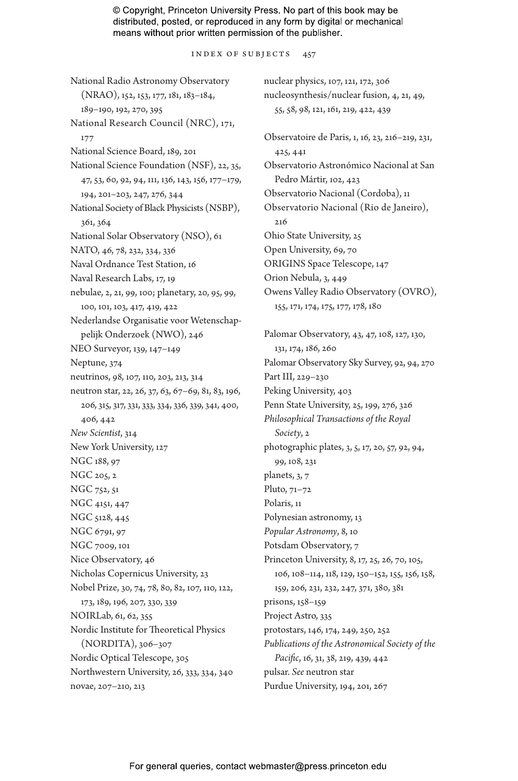#### Index of Subjects 457

National Radio Astronomy Observatory (NRAO), 152, 153, 177, 181, 183–184, 189–190, 192, 270, 395 National Research Council (NRC), 171, 177 National Science Board, 189, 201 National Science Foundation (NSF), 22, 35, 47, 53, 60, 92, 94, 111, 136, 143, 156, 177–179, 194, 201–203, 247, 276, 344 National Society of Black Physicists (NSBP), 361, 364 National Solar Observatory (NSO), 61 NATO, 46, 78, 232, 334, 336 Naval Ordnance Test Station, 16 Naval Research Labs, 17, 19 nebulae, 2, 21, 99, 100; planetary, 20, 95, 99, 100, 101, 103, 417, 419, 422 Nederlandse Organisatie voor Wetenschappelijk Onderzoek (NWO), 246 NEO Surveyor, 139, 147–149 Neptune, 374 neutrinos, 98, 107, 110, 203, 213, 314 neutron star, 22, 26, 37, 63, 67–69, 81, 83, 196, 206, 315, 317, 331, 333, 334, 336, 339, 341, 400, 406, 442 *New Scientist*, 314 New York University, 127 NGC 188, 97 NGC 205, 2 NGC 752, 51 NGC 4151, 447 NGC 5128, 445 NGC 6791, 97 NGC 7009, 101 Nice Observatory, 46 Nicholas Copernicus University, 23 Nobel Prize, 30, 74, 78, 80, 82, 107, 110, 122, 173, 189, 196, 207, 330, 339 NOIRLab, 61, 62, 355 Nordic Institute for Theoretical Physics (NORDITA), 306–307 Nordic Optical Telescope, 305 Northwestern University, 26, 333, 334, 340 novae, 207–210, 213

nuclear physics, 107, 121, 172, 306 nucleosynthesis/nuclear fusion, 4, 21, 49, 55, 58, 98, 121, 161, 219, 422, 439 Observatoire de Paris, 1, 16, 23, 216–219, 231, 425, 441 Observatorio Astronómico Nacional at San Pedro Mártir, 102, 423 Observatorio Nacional (Cordoba), 11 Observatorio Nacional (Rio de Janeiro), 216 Ohio State University, 25 Open University, 69, 70 ORIGINS Space Telescope, 147 Orion Nebula, 3, 449 Owens Valley Radio Observatory (OVRO), 155, 171, 174, 175, 177, 178, 180

Palomar Observatory, 43, 47, 108, 127, 130, 131, 174, 186, 260 Palomar Observatory Sky Survey, 92, 94, 270 Part III, 229–230 Peking University, 403 Penn State University, 25, 199, 276, 326 *Philosophical Transactions of the Royal Society*, 2 photographic plates, 3, 5, 17, 20, 57, 92, 94, 99, 108, 231 planets, 3, 7 Pluto, 71–72 Polaris, 11 Polynesian astronomy, 13 *Popular Astronomy*, 8, 10 Potsdam Observatory, 7 Princeton University, 8, 17, 25, 26, 70, 105, 106, 108–114, 118, 129, 150–152, 155, 156, 158, 159, 206, 231, 232, 247, 371, 380, 381 prisons, 158–159 Project Astro, 335 protostars, 146, 174, 249, 250, 252 *Publications of the Astronomical Society of the Pacific*, 16, 31, 38, 219, 439, 442 pulsar. *See* neutron star Purdue University, 194, 201, 267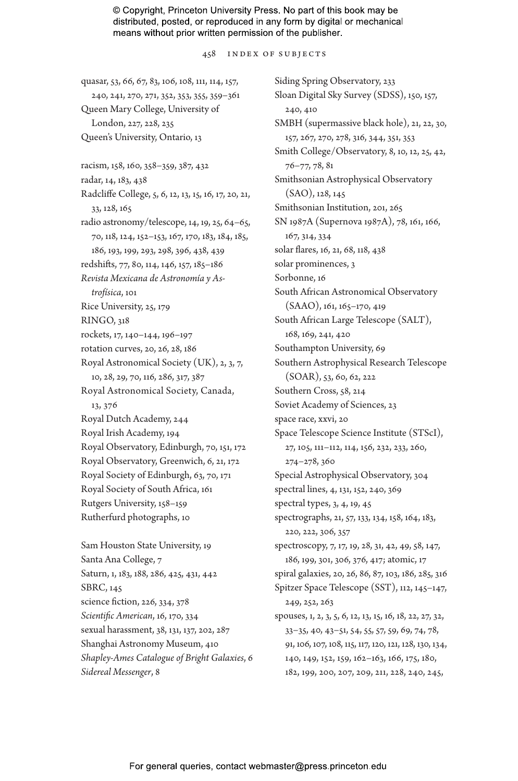#### 458 Index of Subjects

quasar, 53, 66, 67, 83, 106, 108, 111, 114, 157, 240, 241, 270, 271, 352, 353, 355, 359–361 Queen Mary College, University of London, 227, 228, 235 Queen's University, Ontario, 13 racism, 158, 160, 358–359, 387, 432 radar, 14, 183, 438 Radcliffe College, 5, 6, 12, 13, 15, 16, 17, 20, 21, 33, 128, 165 radio astronomy/telescope, 14, 19, 25, 64–65, 70, 118, 124, 152–153, 167, 170, 183, 184, 185, 186, 193, 199, 293, 298, 396, 438, 439 redshifts, 77, 80, 114, 146, 157, 185–186 *Revista Mexicana de Astronomía y Astrofísica*, 101 Rice University, 25, 179 RINGO, 318 rockets, 17, 140–144, 196–197 rotation curves, 20, 26, 28, 186 Royal Astronomical Society (UK), 2, 3, 7, 10, 28, 29, 70, 116, 286, 317, 387 Royal Astronomical Society, Canada, 13, 376 Royal Dutch Academy, 244 Royal Irish Academy, 194 Royal Observatory, Edinburgh, 70, 151, 172 Royal Observatory, Greenwich, 6, 21, 172 Royal Society of Edinburgh, 63, 70, 171 Royal Society of South Africa, 161 Rutgers University, 158–159 Rutherfurd photographs, 10 Sam Houston State University, 19

Santa Ana College, 7 Saturn, 1, 183, 188, 286, 425, 431, 442 SBRC, 145 science fiction, 226, 334, 378 *Scientific American*, 16, 170, 334 sexual harassment, 38, 131, 137, 202, 287 Shanghai Astronomy Museum, 410 *Shapley-Ames Catalogue of Bright Galaxies*, 6 *Sidereal Messenger*, 8

Siding Spring Observatory, 233 Sloan Digital Sky Survey (SDSS), 150, 157, 240, 410 SMBH (supermassive black hole), 21, 22, 30, 157, 267, 270, 278, 316, 344, 351, 353 Smith College/Observatory, 8, 10, 12, 25, 42, 76–77, 78, 81 Smithsonian Astrophysical Observatory (SAO), 128, 145 Smithsonian Institution, 201, 265 SN 1987A (Supernova 1987A), 78, 161, 166, 167, 314, 334 solar flares, 16, 21, 68, 118, 438 solar prominences, 3 Sorbonne, 16 South African Astronomical Observatory (SAAO), 161, 165–170, 419 South African Large Telescope (SALT), 168, 169, 241, 420 Southampton University, 69 Southern Astrophysical Research Telescope (SOAR), 53, 60, 62, 222 Southern Cross, 58, 214 Soviet Academy of Sciences, 23 space race, xxvi, 20 Space Telescope Science Institute (STScI), 27, 105, 111–112, 114, 156, 232, 233, 260, 274–278, 360 Special Astrophysical Observatory, 304 spectral lines, 4, 131, 152, 240, 369 spectral types, 3, 4, 19, 45 spectrographs, 21, 57, 133, 134, 158, 164, 183, 220, 222, 306, 357 spectroscopy, 7, 17, 19, 28, 31, 42, 49, 58, 147, 186, 199, 301, 306, 376, 417; atomic, 17 spiral galaxies, 20, 26, 86, 87, 103, 186, 285, 316 Spitzer Space Telescope (SST), 112, 145–147, 249, 252, 263 spouses, 1, 2, 3, 5, 6, 12, 13, 15, 16, 18, 22, 27, 32, 33–35, 40, 43–51, 54, 55, 57, 59, 69, 74, 78, 91, 106, 107, 108, 115, 117, 120, 121, 128, 130, 134, 140, 149, 152, 159, 162–163, 166, 175, 180, 182, 199, 200, 207, 209, 211, 228, 240, 245,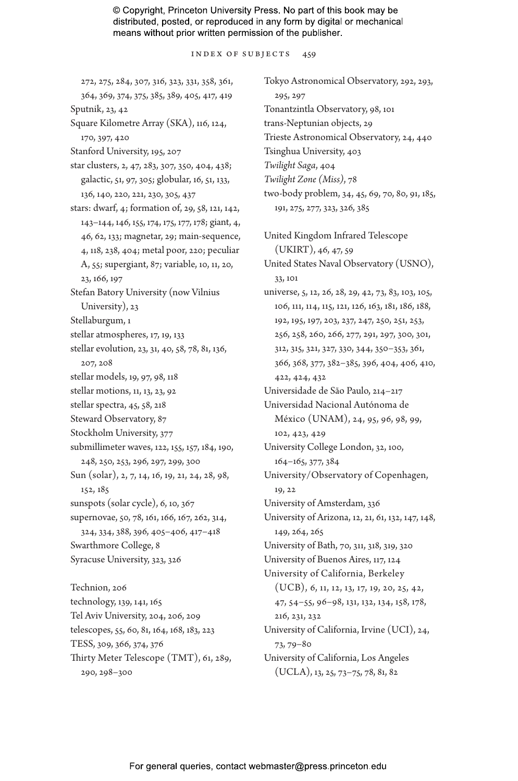Index of Subjects 459

272, 275, 284, 307, 316, 323, 331, 358, 361, 364, 369, 374, 375, 385, 389, 405, 417, 419 Sputnik, 23, 42 Square Kilometre Array (SKA), 116, 124, 170, 397, 420 Stanford University, 195, 207 star clusters, 2, 47, 283, 307, 350, 404, 438; galactic, 51, 97, 305; globular, 16, 51, 133, 136, 140, 220, 221, 230, 305, 437 stars: dwarf, 4; formation of, 29, 58, 121, 142, 143–144, 146, 155, 174, 175, 177, 178; giant, 4, 46, 62, 133; magnetar, 29; main-sequence, 4, 118, 238, 404; metal poor, 220; peculiar A, 55; supergiant, 87; variable, 10, 11, 20, 23, 166, 197 Stefan Batory University (now Vilnius University), 23 Stellaburgum, 1 stellar atmospheres, 17, 19, 133 stellar evolution, 23, 31, 40, 58, 78, 81, 136, 207, 208 stellar models, 19, 97, 98, 118 stellar motions, 11, 13, 23, 92 stellar spectra, 45, 58, 218 Steward Observatory, 87 Stockholm University, 377 submillimeter waves, 122, 155, 157, 184, 190, 248, 250, 253, 296, 297, 299, 300 Sun (solar), 2, 7, 14, 16, 19, 21, 24, 28, 98, 152, 185 sunspots (solar cycle), 6, 10, 367 supernovae, 50, 78, 161, 166, 167, 262, 314, 324, 334, 388, 396, 405–406, 417–418 Swarthmore College, 8 Syracuse University, 323, 326 Technion, 206 technology, 139, 141, 165 Tel Aviv University, 204, 206, 209 telescopes, 55, 60, 81, 164, 168, 183, 223 TESS, 309, 366, 374, 376 Thirty Meter Telescope (TMT), 61, 289, 290, 298–300

Tokyo Astronomical Observatory, 292, 293, 295, 297 Tonantzintla Observatory, 98, 101 trans-Neptunian objects, 29 Trieste Astronomical Observatory, 24, 440 Tsinghua University, 403 *Twilight Saga*, 404 *Twilight Zone (Miss)*, 78 two-body problem, 34, 45, 69, 70, 80, 91, 185, 191, 275, 277, 323, 326, 385 United Kingdom Infrared Telescope (UKIRT), 46, 47, 59 United States Naval Observatory (USNO), 33, 101 universe, 5, 12, 26, 28, 29, 42, 73, 83, 103, 105, 106, 111, 114, 115, 121, 126, 163, 181, 186, 188, 192, 195, 197, 203, 237, 247, 250, 251, 253, 256, 258, 260, 266, 277, 291, 297, 300, 301, 312, 315, 321, 327, 330, 344, 350–353, 361, 366, 368, 377, 382–385, 396, 404, 406, 410, 422, 424, 432 Universidade de São Paulo, 214–217 Universidad Nacional Autónoma de México (UNAM), 24, 95, 96, 98, 99, 102, 423, 429 University College London, 32, 100, 164–165, 377, 384 University/Observatory of Copenhagen, 19, 22 University of Amsterdam, 336 University of Arizona, 12, 21, 61, 132, 147, 148, 149, 264, 265 University of Bath, 70, 311, 318, 319, 320 University of Buenos Aires, 117, 124 University of California, Berkeley (UCB), 6, 11, 12, 13, 17, 19, 20, 25, 42, 47, 54–55, 96–98, 131, 132, 134, 158, 178, 216, 231, 232 University of California, Irvine (UCI), 24, 73, 79–80 University of California, Los Angeles (UCLA), 13, 25, 73–75, 78, 81, 82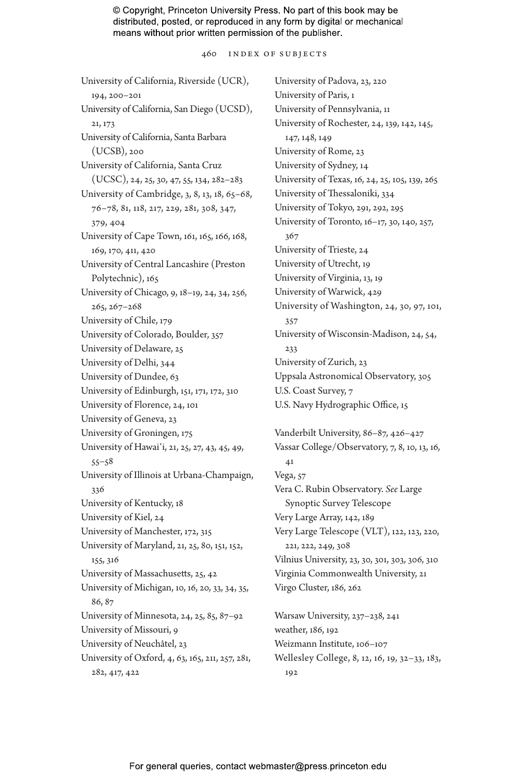460 Index of Subjects

University of California, Riverside (UCR), 194, 200–201 University of California, San Diego (UCSD), 21, 173 University of California, Santa Barbara (UCSB), 200 University of California, Santa Cruz (UCSC), 24, 25, 30, 47, 55, 134, 282–283 University of Cambridge, 3, 8, 13, 18, 65–68, 76–78, 81, 118, 217, 229, 281, 308, 347, 379, 404 University of Cape Town, 161, 165, 166, 168, 169, 170, 411, 420 University of Central Lancashire (Preston Polytechnic), 165 University of Chicago, 9, 18–19, 24, 34, 256, 265, 267–268 University of Chile, 179 University of Colorado, Boulder, 357 University of Delaware, 25 University of Delhi, 344 University of Dundee, 63 University of Edinburgh, 151, 171, 172, 310 University of Florence, 24, 101 University of Geneva, 23 University of Groningen, 175 University of Hawaiʻi, 21, 25, 27, 43, 45, 49, 55–58 University of Illinois at Urbana-Champaign, 336 University of Kentucky, 18 University of Kiel, 24 University of Manchester, 172, 315 University of Maryland, 21, 25, 80, 151, 152, 155, 316 University of Massachusetts, 25, 42 University of Michigan, 10, 16, 20, 33, 34, 35, 86, 87 University of Minnesota, 24, 25, 85, 87–92 University of Missouri, 9 University of Neuchâtel, 23 University of Oxford, 4, 63, 165, 211, 257, 281, 282, 417, 422

University of Padova, 23, 220 University of Paris, 1 University of Pennsylvania, 11 University of Rochester, 24, 139, 142, 145, 147, 148, 149 University of Rome, 23 University of Sydney, 14 University of Texas, 16, 24, 25, 105, 139, 265 University of Thessaloniki, 334 University of Tokyo, 291, 292, 295 University of Toronto, 16–17, 30, 140, 257, 367 University of Trieste, 24 University of Utrecht, 19 University of Virginia, 13, 19 University of Warwick, 429 University of Washington, 24, 30, 97, 101, 357 University of Wisconsin-Madison, 24, 54, 233 University of Zurich, 23 Uppsala Astronomical Observatory, 305 U.S. Coast Survey, 7 U.S. Navy Hydrographic Office, 15 Vanderbilt University, 86–87, 426–427 Vassar College/Observatory, 7, 8, 10, 13, 16, 41 Vega, 57 Vera C. Rubin Observatory. *See* Large Synoptic Survey Telescope Very Large Array, 142, 189 Very Large Telescope (VLT), 122, 123, 220, 221, 222, 249, 308 Vilnius University, 23, 30, 301, 303, 306, 310 Virginia Commonwealth University, 21 Virgo Cluster, 186, 262 Warsaw University, 237–238, 241

weather, 186, 192 Weizmann Institute, 106–107 Wellesley College, 8, 12, 16, 19, 32–33, 183, 192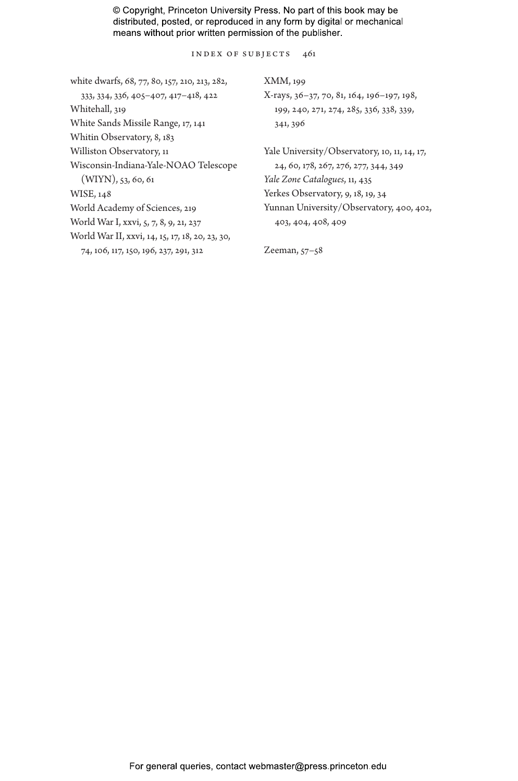Index of Subjects 461

| white dwarfs, 68, 77, 80, 157, 210, 213, 282,   | XMM, 199                                     |  |
|-------------------------------------------------|----------------------------------------------|--|
| 333, 334, 336, 405-407, 417-418, 422            | X-rays, 36–37, 70, 81, 164, 196–197, 198,    |  |
| Whitehall, 319                                  | 199, 240, 271, 274, 285, 336, 338, 339,      |  |
| White Sands Missile Range, 17, 141              | 341, 396                                     |  |
| Whitin Observatory, 8, 183                      |                                              |  |
| Williston Observatory, 11                       | Yale University/Observatory, 10, 11, 14, 17, |  |
| Wisconsin-Indiana-Yale-NOAO Telescope           | 24, 60, 178, 267, 276, 277, 344, 349         |  |
| $(WIYN)$ , 53, 60, 61                           | Yale Zone Catalogues, 11, 435                |  |
| WISE, 148                                       | Yerkes Observatory, 9, 18, 19, 34            |  |
| World Academy of Sciences, 219                  | Yunnan University/Observatory, 400, 402,     |  |
| World War I, xxvi, 5, 7, 8, 9, 21, 237          | 403, 404, 408, 409                           |  |
| World War II, xxvi, 14, 15, 17, 18, 20, 23, 30, |                                              |  |
| 74, 106, 117, 150, 196, 237, 291, 312           | Zeeman, $57-58$                              |  |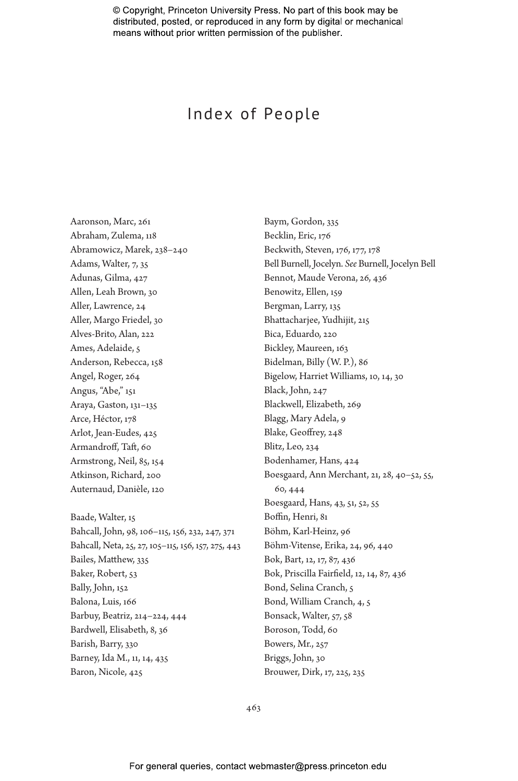# Index of People

Baym, Gordon, 335

Aaronson, Marc, 261 Abraham, Zulema, 118 Abramowicz, Marek, 238–240 Adams, Walter, 7, 35 Adunas, Gilma, 427 Allen, Leah Brown, 30 Aller, Lawrence, 24 Aller, Margo Friedel, 30 Alves-Brito, Alan, 222 Ames, Adelaide, 5 Anderson, Rebecca, 158 Angel, Roger, 264 Angus, "Abe," 151 Araya, Gaston, 131–135 Arce, Héctor, 178 Arlot, Jean-Eudes, 425 Armandroff, Taft, 60 Armstrong, Neil, 85, 154 Atkinson, Richard, 200 Auternaud, Danièle, 120 Baade, Walter, 15

Becklin, Eric, 176 Beckwith, Steven, 176, 177, 178 Bell Burnell, Jocelyn. *See* Burnell, Jocelyn Bell Bennot, Maude Verona, 26, 436 Benowitz, Ellen, 159 Bergman, Larry, 135 Bhattacharjee, Yudhijit, 215 Bica, Eduardo, 220 Bickley, Maureen, 163 Bidelman, Billy (W. P.), 86 Bigelow, Harriet Williams, 10, 14, 30 Black, John, 247 Blackwell, Elizabeth, 269 Blagg, Mary Adela, 9 Blake, Geoffrey, 248 Blitz, Leo, 234 Bodenhamer, Hans, 424 Boesgaard, Ann Merchant, 21, 28, 40–52, 55, 60, 444 Boesgaard, Hans, 43, 51, 52, 55 Boffin, Henri, 81 Böhm, Karl-Heinz, 96 Böhm-Vitense, Erika, 24, 96, 440 Bok, Bart, 12, 17, 87, 436 Bok, Priscilla Fairfield, 12, 14, 87, 436 Bond, Selina Cranch, 5 Bond, William Cranch, 4, 5 Bonsack, Walter, 57, 58 Boroson, Todd, 60 Bowers, Mr., 257 Briggs, John, 30 Brouwer, Dirk, 17, 225, 235

Bahcall, John, 98, 106–115, 156, 232, 247, 371 Bahcall, Neta, 25, 27, 105–115, 156, 157, 275, 443 Bailes, Matthew, 335 Baker, Robert, 53 Bally, John, 152 Balona, Luis, 166 Barbuy, Beatriz, 214–224, 444 Bardwell, Elisabeth, 8, 36 Barish, Barry, 330 Barney, Ida M., 11, 14, 435 Baron, Nicole, 425

463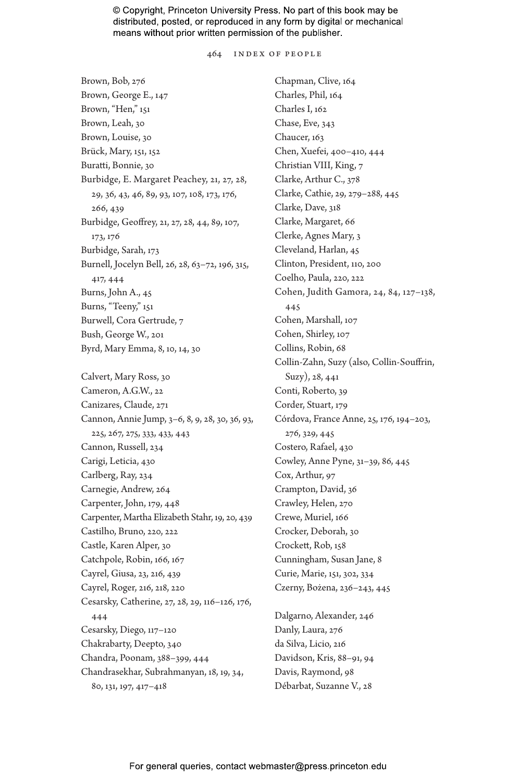464 INDEX OF PEOPLE

Brown, Bob, 276 Brown, George E., 147 Brown, "Hen," 151 Brown, Leah, 30 Brown, Louise, 30 Brück, Mary, 151, 152 Buratti, Bonnie, 30 Burbidge, E. Margaret Peachey, 21, 27, 28, 29, 36, 43, 46, 89, 93, 107, 108, 173, 176, 266, 439 Burbidge, Geoffrey, 21, 27, 28, 44, 89, 107, 173, 176 Burbidge, Sarah, 173 Burnell, Jocelyn Bell, 26, 28, 63–72, 196, 315, 417, 444 Burns, John A., 45 Burns, "Teeny," 151 Burwell, Cora Gertrude, 7 Bush, George W., 201 Byrd, Mary Emma, 8, 10, 14, 30 Calvert, Mary Ross, 30 Cameron, A.G.W., 22 Canizares, Claude, 271 Cannon, Annie Jump, 3–6, 8, 9, 28, 30, 36, 93, 225, 267, 275, 333, 433, 443 Cannon, Russell, 234 Carigi, Leticia, 430 Carlberg, Ray, 234 Carnegie, Andrew, 264 Carpenter, John, 179, 448 Carpenter, Martha Elizabeth Stahr, 19, 20, 439 Castilho, Bruno, 220, 222 Castle, Karen Alper, 30 Catchpole, Robin, 166, 167 Cayrel, Giusa, 23, 216, 439 Cayrel, Roger, 216, 218, 220 Cesarsky, Catherine, 27, 28, 29, 116–126, 176, 444 Cesarsky, Diego, 117–120 Chakrabarty, Deepto, 340 Chandra, Poonam, 388–399, 444 Chandrasekhar, Subrahmanyan, 18, 19, 34, 80, 131, 197, 417–418

Chapman, Clive, 164 Charles, Phil, 164 Charles I, 162 Chase, Eve, 343 Chaucer, 163 Chen, Xuefei, 400–410, 444 Christian VIII, King, 7 Clarke, Arthur C., 378 Clarke, Cathie, 29, 279–288, 445 Clarke, Dave, 318 Clarke, Margaret, 66 Clerke, Agnes Mary, 3 Cleveland, Harlan, 45 Clinton, President, 110, 200 Coelho, Paula, 220, 222 Cohen, Judith Gamora, 24, 84, 127–138, 445 Cohen, Marshall, 107 Cohen, Shirley, 107 Collins, Robin, 68 Collin-Zahn, Suzy (also, Collin-Souffrin, Suzy), 28, 441 Conti, Roberto, 39 Corder, Stuart, 179 Córdova, France Anne, 25, 176, 194–203, 276, 329, 445 Costero, Rafael, 430 Cowley, Anne Pyne, 31–39, 86, 445 Cox, Arthur, 97 Crampton, David, 36 Crawley, Helen, 270 Crewe, Muriel, 166 Crocker, Deborah, 30 Crockett, Rob, 158 Cunningham, Susan Jane, 8 Curie, Marie, 151, 302, 334 Czerny, Bożena, 236–243, 445 Dalgarno, Alexander, 246 Danly, Laura, 276

da Silva, Licio, 216 Davidson, Kris, 88–91, 94 Davis, Raymond, 98 Débarbat, Suzanne V., 28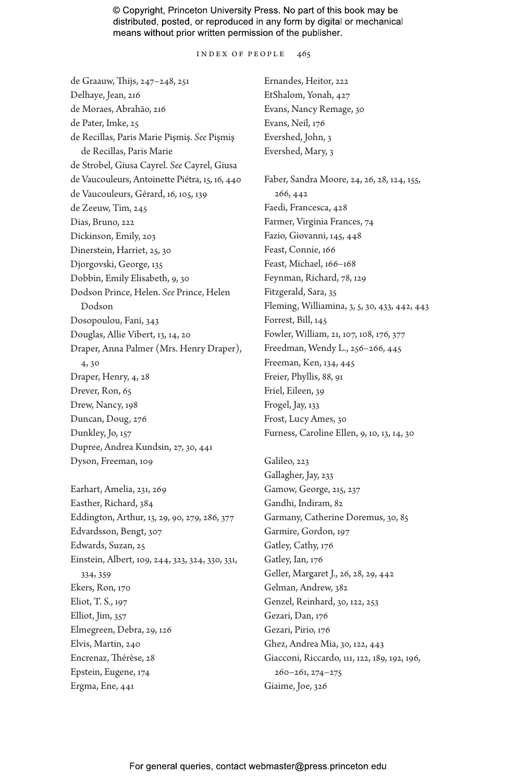INDEX OF PEOPLE 465

de Graauw, Thijs, 247–248, 251 Delhaye, Jean, 216 de Moraes, Abrahão, 216 de Pater, Imke, 25 de Recillas, Paris Marie Pişmiş. *See* Pişmiş de Recillas, Paris Marie de Strobel, Giusa Cayrel. *See* Cayrel, Giusa de Vaucouleurs, Antoinette Piétra, 15, 16, 440 de Vaucouleurs, Gérard, 16, 105, 139 de Zeeuw, Tim, 245 Dias, Bruno, 222 Dickinson, Emily, 203 Dinerstein, Harriet, 25, 30 Djorgovski, George, 135 Dobbin, Emily Elisabeth, 9, 30 Dodson Prince, Helen. *See* Prince, Helen Dodson Dosopoulou, Fani, 343 Douglas, Allie Vibert, 13, 14, 20 Draper, Anna Palmer (Mrs. Henry Draper), 4, 30 Draper, Henry, 4, 28 Drever, Ron, 65 Drew, Nancy, 198 Duncan, Doug, 276 Dunkley, Jo, 157 Dupree, Andrea Kundsin, 27, 30, 441 Dyson, Freeman, 109

Earhart, Amelia, 231, 269 Easther, Richard, 384 Eddington, Arthur, 13, 29, 90, 279, 286, 377 Edvardsson, Bengt, 307 Edwards, Suzan, 25 Einstein, Albert, 109, 244, 323, 324, 330, 331, 334, 359 Ekers, Ron, 170 Eliot, T. S., 197 Elliot, Jim, 357 Elmegreen, Debra, 29, 126 Elvis, Martin, 240 Encrenaz, Thérèse, 28 Epstein, Eugene, 174 Ergma, Ene, 441

Ernandes, Heitor, 222 EtShalom, Yonah, 427 Evans, Nancy Remage, 30 Evans, Neil, 176 Evershed, John, 3 Evershed, Mary, 3 Faber, Sandra Moore, 24, 26, 28, 124, 155, 266, 442 Faedi, Francesca, 428 Farmer, Virginia Frances, 74 Fazio, Giovanni, 145, 448 Feast, Connie, 166 Feast, Michael, 166–168 Feynman, Richard, 78, 129 Fitzgerald, Sara, 35 Fleming, Williamina, 3, 5, 30, 433, 442, 443 Forrest, Bill, 145 Fowler, William, 21, 107, 108, 176, 377 Freedman, Wendy L., 256–266, 445 Freeman, Ken, 134, 445 Freier, Phyllis, 88, 91 Friel, Eileen, 39 Frogel, Jay, 133 Frost, Lucy Ames, 30 Furness, Caroline Ellen, 9, 10, 13, 14, 30

Galileo, 223 Gallagher, Jay, 233 Gamow, George, 215, 237 Gandhi, Indiram, 82 Garmany, Catherine Doremus, 30, 85 Garmire, Gordon, 197 Gatley, Cathy, 176 Gatley, Ian, 176 Geller, Margaret J., 26, 28, 29, 442 Gelman, Andrew, 382 Genzel, Reinhard, 30, 122, 253 Gezari, Dan, 176 Gezari, Pirio, 176 Ghez, Andrea Mia, 30, 122, 443 Giacconi, Riccardo, 111, 122, 189, 192, 196, 260–261, 274–275 Giaime, Joe, 326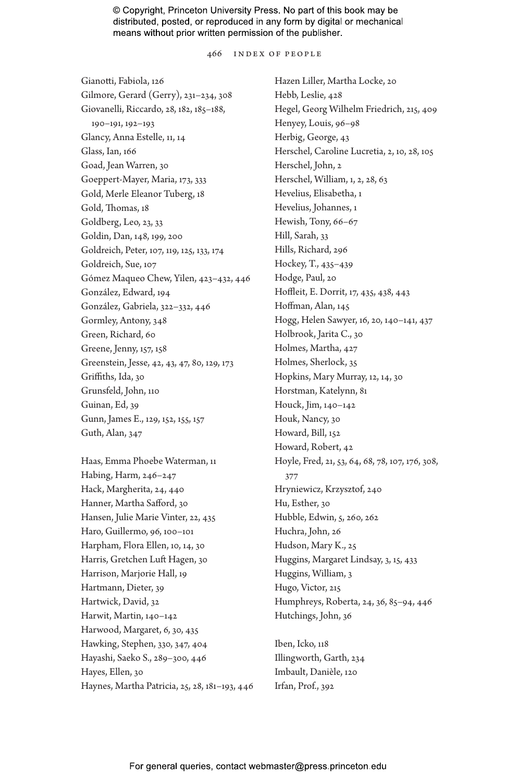466 INDEX OF PEOPLE

Gianotti, Fabiola, 126 Gilmore, Gerard (Gerry), 231–234, 308 Giovanelli, Riccardo, 28, 182, 185–188, 190–191, 192–193 Glancy, Anna Estelle, 11, 14 Glass, Ian, 166 Goad, Jean Warren, 30 Goeppert-Mayer, Maria, 173, 333 Gold, Merle Eleanor Tuberg, 18 Gold, Thomas, 18 Goldberg, Leo, 23, 33 Goldin, Dan, 148, 199, 200 Goldreich, Peter, 107, 119, 125, 133, 174 Goldreich, Sue, 107 Gómez Maqueo Chew, Yilen, 423–432, 446 González, Edward, 194 González, Gabriela, 322–332, 446 Gormley, Antony, 348 Green, Richard, 60 Greene, Jenny, 157, 158 Greenstein, Jesse, 42, 43, 47, 80, 129, 173 Griffiths, Ida, 30 Grunsfeld, John, 110 Guinan, Ed, 39 Gunn, James E., 129, 152, 155, 157 Guth, Alan, 347

Haas, Emma Phoebe Waterman, 11 Habing, Harm, 246–247 Hack, Margherita, 24, 440 Hanner, Martha Safford, 30 Hansen, Julie Marie Vinter, 22, 435 Haro, Guillermo, 96, 100–101 Harpham, Flora Ellen, 10, 14, 30 Harris, Gretchen Luft Hagen, 30 Harrison, Marjorie Hall, 19 Hartmann, Dieter, 39 Hartwick, David, 32 Harwit, Martin, 140–142 Harwood, Margaret, 6, 30, 435 Hawking, Stephen, 330, 347, 404 Hayashi, Saeko S., 289–300, 446 Hayes, Ellen, 30 Haynes, Martha Patricia, 25, 28, 181–193, 446 Hazen Liller, Martha Locke, 20 Hebb, Leslie, 428 Hegel, Georg Wilhelm Friedrich, 215, 409 Henyey, Louis, 96–98 Herbig, George, 43 Herschel, Caroline Lucretia, 2, 10, 28, 105 Herschel, John, 2 Herschel, William, 1, 2, 28, 63 Hevelius, Elisabetha, 1 Hevelius, Johannes, 1 Hewish, Tony, 66–67 Hill, Sarah, 33 Hills, Richard, 296 Hockey, T., 435–439 Hodge, Paul, 20 Hoffleit, E. Dorrit, 17, 435, 438, 443 Hoffman, Alan, 145 Hogg, Helen Sawyer, 16, 20, 140–141, 437 Holbrook, Jarita C., 30 Holmes, Martha, 427 Holmes, Sherlock, 35 Hopkins, Mary Murray, 12, 14, 30 Horstman, Katelynn, 81 Houck, Jim, 140–142 Houk, Nancy, 30 Howard, Bill, 152 Howard, Robert, 42 Hoyle, Fred, 21, 53, 64, 68, 78, 107, 176, 308, 377 Hryniewicz, Krzysztof, 240 Hu, Esther, 30 Hubble, Edwin, 5, 260, 262 Huchra, John, 26 Hudson, Mary K., 25 Huggins, Margaret Lindsay, 3, 15, 433 Huggins, William, 3 Hugo, Victor, 215 Humphreys, Roberta, 24, 36, 85–94, 446 Hutchings, John, 36

Iben, Icko, 118 Illingworth, Garth, 234 Imbault, Danièle, 120 Irfan, Prof., 392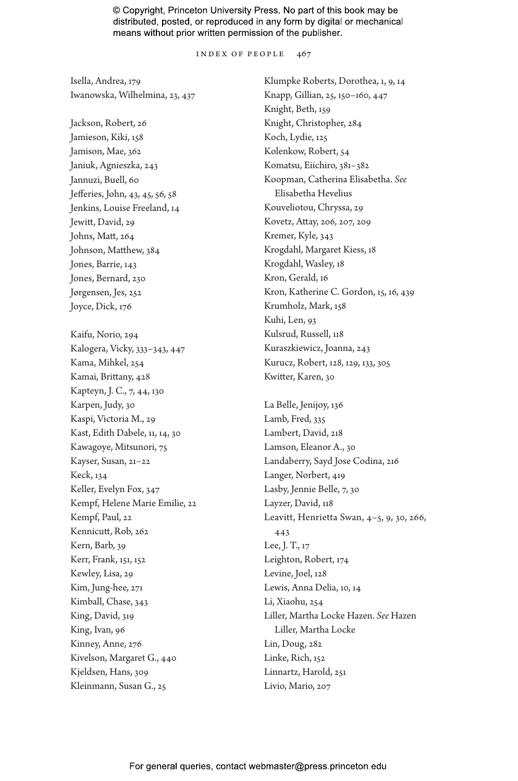INDEX OF PEOPLE 467

Isella, Andrea, 179 Iwanowska, Wilhelmina, 23, 437

Jackson, Robert, 26 Jamieson, Kiki, 158 Jamison, Mae, 362 Janiuk, Agnieszka, 243 Jannuzi, Buell, 60 Jefferies, John, 43, 45, 56, 58 Jenkins, Louise Freeland, 14 Jewitt, David, 29 Johns, Matt, 264 Johnson, Matthew, 384 Jones, Barrie, 143 Jones, Bernard, 230 Jørgensen, Jes, 252 Joyce, Dick, 176 Kaifu, Norio, 294

Kalogera, Vicky, 333–343, 447 Kama, Mihkel, 254 Kamai, Brittany, 428 Kapteyn, J. C., 7, 44, 130 Karpen, Judy, 30 Kaspi, Victoria M., 29 Kast, Edith Dabele, 11, 14, 30 Kawagoye, Mitsunori, 75 Kayser, Susan, 21–22 Keck, 134 Keller, Evelyn Fox, 347 Kempf, Helene Marie Emilie, 22 Kempf, Paul, 22 Kennicutt, Rob, 262 Kern, Barb, 39 Kerr, Frank, 151, 152 Kewley, Lisa, 29 Kim, Jung-hee, 271 Kimball, Chase, 343 King, David, 319 King, Ivan, 96 Kinney, Anne, 276 Kivelson, Margaret G., 440 Kjeldsen, Hans, 309 Kleinmann, Susan G., 25

Klumpke Roberts, Dorothea, 1, 9, 14 Knapp, Gillian, 25, 150–160, 447 Knight, Beth, 159 Knight, Christopher, 284 Koch, Lydie, 125 Kolenkow, Robert, 54 Komatsu, Eiichiro, 381–382 Koopman, Catherina Elisabetha. *See* Elisabetha Hevelius Kouveliotou, Chryssa, 29 Kovetz, Attay, 206, 207, 209 Kremer, Kyle, 343 Krogdahl, Margaret Kiess, 18 Krogdahl, Wasley, 18 Kron, Gerald, 16 Kron, Katherine C. Gordon, 15, 16, 439 Krumholz, Mark, 158 Kuhi, Len, 93 Kulsrud, Russell, 118 Kuraszkiewicz, Joanna, 243 Kurucz, Robert, 128, 129, 133, 305 Kwitter, Karen, 30

La Belle, Jenijoy, 136 Lamb, Fred, 335 Lambert, David, 218 Lamson, Eleanor A., 30 Landaberry, Sayd Jose Codina, 216 Langer, Norbert, 419 Lasby, Jennie Belle, 7, 30 Layzer, David, 118 Leavitt, Henrietta Swan, 4–5, 9, 30, 266, 443 Lee, J. T., 17 Leighton, Robert, 174 Levine, Joel, 128 Lewis, Anna Delia, 10, 14 Li, Xiaohu, 254 Liller, Martha Locke Hazen. *See* Hazen Liller, Martha Locke Lin, Doug, 282 Linke, Rich, 152 Linnartz, Harold, 251 Livio, Mario, 207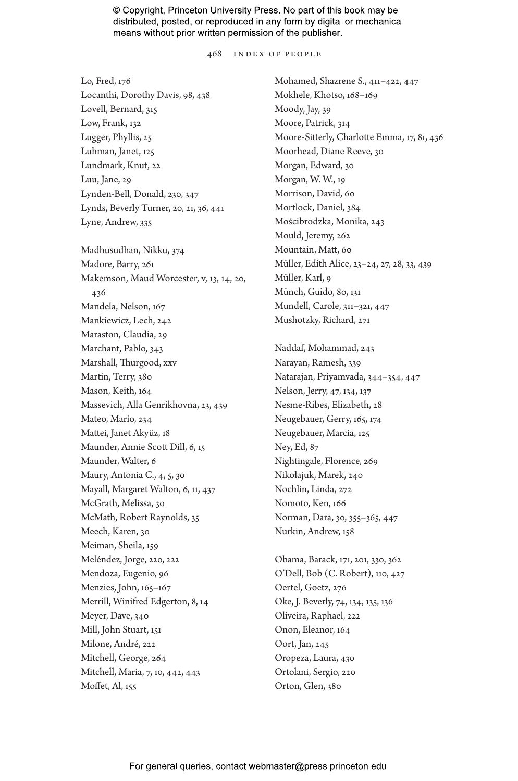468 INDEX OF PEOPLE

Lo, Fred, 176 Locanthi, Dorothy Davis, 98, 438 Lovell, Bernard, 315 Low, Frank, 132 Lugger, Phyllis, 25 Luhman, Janet, 125 Lundmark, Knut, 22 Luu, Jane, 29 Lynden-Bell, Donald, 230, 347 Lynds, Beverly Turner, 20, 21, 36, 441 Lyne, Andrew, 335 Madhusudhan, Nikku, 374 Madore, Barry, 261 Makemson, Maud Worcester, v, 13, 14, 20, 436 Mandela, Nelson, 167 Mankiewicz, Lech, 242 Maraston, Claudia, 29 Marchant, Pablo, 343 Marshall, Thurgood, xxv Martin, Terry, 380 Mason, Keith, 164 Massevich, Alla Genrikhovna, 23, 439 Mateo, Mario, 234 Mattei, Janet Akyüz, 18 Maunder, Annie Scott Dill, 6, 15 Maunder, Walter, 6 Maury, Antonia C., 4, 5, 30 Mayall, Margaret Walton, 6, 11, 437 McGrath, Melissa, 30 McMath, Robert Raynolds, 35 Meech, Karen, 30 Meiman, Sheila, 159 Meléndez, Jorge, 220, 222 Mendoza, Eugenio, 96 Menzies, John, 165–167 Merrill, Winifred Edgerton, 8, 14 Meyer, Dave, 340 Mill, John Stuart, 151 Milone, André, 222 Mitchell, George, 264 Mitchell, Maria, 7, 10, 442, 443 Moffet, Al, 155

Mohamed, Shazrene S., 411–422, 447 Mokhele, Khotso, 168–169 Moody, Jay, 39 Moore, Patrick, 314 Moore-Sitterly, Charlotte Emma, 17, 81, 436 Moorhead, Diane Reeve, 30 Morgan, Edward, 30 Morgan, W. W., 19 Morrison, David, 60 Mortlock, Daniel, 384 Mościbrodzka, Monika, 243 Mould, Jeremy, 262 Mountain, Matt, 60 Müller, Edith Alice, 23–24, 27, 28, 33, 439 Müller, Karl, 9 Münch, Guido, 80, 131 Mundell, Carole, 311–321, 447 Mushotzky, Richard, 271

Naddaf, Mohammad, 243 Narayan, Ramesh, 339 Natarajan, Priyamvada, 344–354, 447 Nelson, Jerry, 47, 134, 137 Nesme-Ribes, Elizabeth, 28 Neugebauer, Gerry, 165, 174 Neugebauer, Marcia, 125 Ney, Ed, 87 Nightingale, Florence, 269 Nikołajuk, Marek, 240 Nochlin, Linda, 272 Nomoto, Ken, 166 Norman, Dara, 30, 355–365, 447 Nurkin, Andrew, 158

Obama, Barack, 171, 201, 330, 362 O'Dell, Bob (C. Robert), 110, 427 Oertel, Goetz, 276 Oke, J. Beverly, 74, 134, 135, 136 Oliveira, Raphael, 222 Onon, Eleanor, 164 Oort, Jan, 245 Oropeza, Laura, 430 Ortolani, Sergio, 220 Orton, Glen, 380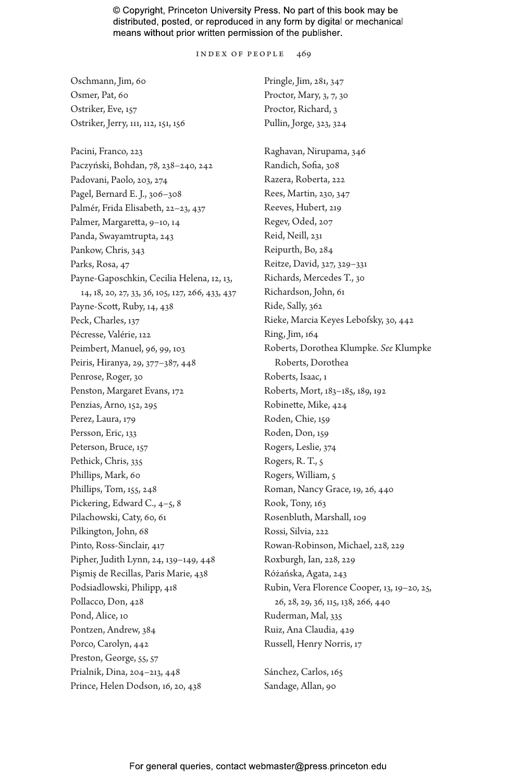INDEX OF PEOPLE 469

| Oschmann, Jim, 60                               | Pringle, Jim, 281, 347                      |
|-------------------------------------------------|---------------------------------------------|
| Osmer, Pat, 60                                  | Proctor, Mary, 3, 7, 30                     |
| Ostriker, Eve, 157                              | Proctor, Richard, 3                         |
| Ostriker, Jerry, 111, 112, 151, 156             | Pullin, Jorge, 323, 324                     |
|                                                 |                                             |
| Pacini, Franco, 223                             | Raghavan, Nirupama, 346                     |
| Paczyński, Bohdan, 78, 238-240, 242             | Randich, Sofia, 308                         |
| Padovani, Paolo, 203, 274                       | Razera, Roberta, 222                        |
| Pagel, Bernard E. J., 306-308                   | Rees, Martin, 230, 347                      |
| Palmér, Frida Elisabeth, 22-23, 437             | Reeves, Hubert, 219                         |
| Palmer, Margaretta, 9-10, 14                    | Regev, Oded, 207                            |
| Panda, Swayamtrupta, 243                        | Reid, Neill, 231                            |
| Pankow, Chris, 343                              | Reipurth, Bo, 284                           |
| Parks, Rosa, 47                                 | Reitze, David, 327, 329-331                 |
| Payne-Gaposchkin, Cecilia Helena, 12, 13,       | Richards, Mercedes T., 30                   |
| 14, 18, 20, 27, 33, 36, 105, 127, 266, 433, 437 | Richardson, John, 61                        |
| Payne-Scott, Ruby, 14, 438                      | Ride, Sally, 362                            |
| Peck, Charles, 137                              | Rieke, Marcia Keyes Lebofsky, 30, 442       |
| Pécresse, Valérie, 122                          | Ring, Jim, 164                              |
| Peimbert, Manuel, 96, 99, 103                   | Roberts, Dorothea Klumpke. See Klumpke      |
| Peiris, Hiranya, 29, 377-387, 448               | Roberts, Dorothea                           |
| Penrose, Roger, 30                              | Roberts, Isaac, 1                           |
| Penston, Margaret Evans, 172                    | Roberts, Mort, 183-185, 189, 192            |
| Penzias, Arno, 152, 295                         | Robinette, Mike, 424                        |
| Perez, Laura, 179                               | Roden, Chie, 159                            |
| Persson, Eric, 133                              | Roden, Don, 159                             |
| Peterson, Bruce, 157                            | Rogers, Leslie, 374                         |
| Pethick, Chris, 335                             | Rogers, R. T., 5                            |
| Phillips, Mark, 60                              | Rogers, William, 5                          |
| Phillips, Tom, 155, 248                         | Roman, Nancy Grace, 19, 26, 440             |
| Pickering, Edward C., 4-5, 8                    | Rook, Tony, 163                             |
| Pilachowski, Caty, 60, 61                       | Rosenbluth, Marshall, 109                   |
| Pilkington, John, 68                            | Rossi, Silvia, 222                          |
| Pinto, Ross-Sinclair, 417                       | Rowan-Robinson, Michael, 228, 229           |
| Pipher, Judith Lynn, 24, 139-149, 448           | Roxburgh, Ian, 228, 229                     |
| Pişmiş de Recillas, Paris Marie, 438            | Różańska, Agata, 243                        |
| Podsiadlowski, Philipp, 418                     | Rubin, Vera Florence Cooper, 13, 19-20, 25, |
| Pollacco, Don, 428                              | 26, 28, 29, 36, 115, 138, 266, 440          |
| Pond, Alice, 10                                 | Ruderman, Mal, 335                          |
| Pontzen, Andrew, 384                            | Ruiz, Ana Claudia, 429                      |
| Porco, Carolyn, 442                             | Russell, Henry Norris, 17                   |
| Preston, George, 55, 57                         |                                             |
| Prialnik, Dina, 204-213, 448                    | Sánchez, Carlos, 165                        |
| Prince, Helen Dodson, 16, 20, 438               | Sandage, Allan, 90                          |
|                                                 |                                             |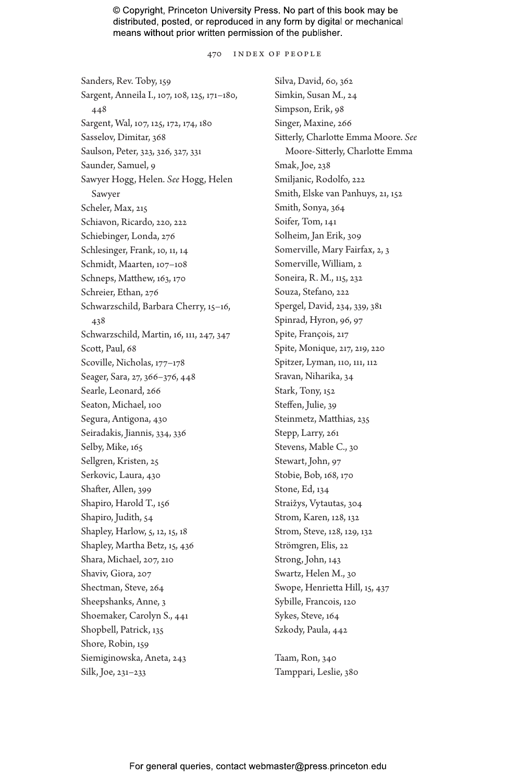470 INDEX OF PEOPLE

Sanders, Rev. Toby, 159 Sargent, Anneila I., 107, 108, 125, 171–180, 448 Sargent, Wal, 107, 125, 172, 174, 180 Sasselov, Dimitar, 368 Saulson, Peter, 323, 326, 327, 331 Saunder, Samuel, 9 Sawyer Hogg, Helen. *See* Hogg, Helen Sawyer Scheler, Max, 215 Schiavon, Ricardo, 220, 222 Schiebinger, Londa, 276 Schlesinger, Frank, 10, 11, 14 Schmidt, Maarten, 107–108 Schneps, Matthew, 163, 170 Schreier, Ethan, 276 Schwarzschild, Barbara Cherry, 15–16, 438 Schwarzschild, Martin, 16, 111, 247, 347 Scott, Paul, 68 Scoville, Nicholas, 177–178 Seager, Sara, 27, 366–376, 448 Searle, Leonard, 266 Seaton, Michael, 100 Segura, Antigona, 430 Seiradakis, Jiannis, 334, 336 Selby, Mike, 165 Sellgren, Kristen, 25 Serkovic, Laura, 430 Shafter, Allen, 399 Shapiro, Harold T., 156 Shapiro, Judith, 54 Shapley, Harlow, 5, 12, 15, 18 Shapley, Martha Betz, 15, 436 Shara, Michael, 207, 210 Shaviv, Giora, 207 Shectman, Steve, 264 Sheepshanks, Anne, 3 Shoemaker, Carolyn S., 441 Shopbell, Patrick, 135 Shore, Robin, 159 Siemiginowska, Aneta, 243 Silk, Joe, 231–233

Silva, David, 60, 362 Simkin, Susan M., 24 Simpson, Erik, 98 Singer, Maxine, 266 Sitterly, Charlotte Emma Moore. *See* Moore-Sitterly, Charlotte Emma Smak, Joe, 238 Smiljanic, Rodolfo, 222 Smith, Elske van Panhuys, 21, 152 Smith, Sonya, 364 Soifer, Tom, 141 Solheim, Jan Erik, 309 Somerville, Mary Fairfax, 2, 3 Somerville, William, 2 Soneira, R. M., 115, 232 Souza, Stefano, 222 Spergel, David, 234, 339, 381 Spinrad, Hyron, 96, 97 Spite, François, 217 Spite, Monique, 217, 219, 220 Spitzer, Lyman, 110, 111, 112 Sravan, Niharika, 34 Stark, Tony, 152 Steffen, Julie, 39 Steinmetz, Matthias, 235 Stepp, Larry, 261 Stevens, Mable C., 30 Stewart, John, 97 Stobie, Bob, 168, 170 Stone, Ed, 134 Straižys, Vytautas, 304 Strom, Karen, 128, 132 Strom, Steve, 128, 129, 132 Strömgren, Elis, 22 Strong, John, 143 Swartz, Helen M., 30 Swope, Henrietta Hill, 15, 437 Sybille, Francois, 120 Sykes, Steve, 164 Szkody, Paula, 442

Taam, Ron, 340 Tamppari, Leslie, 380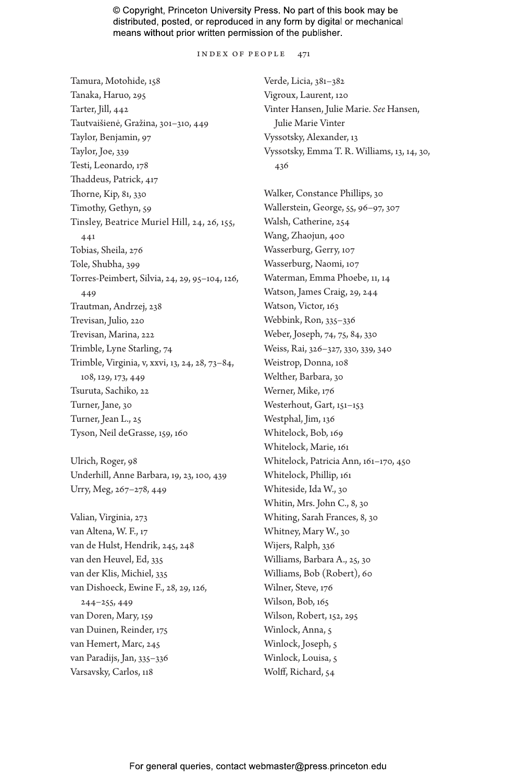INDEX OF PEOPLE 471

Tamura, Motohide, 158 Tanaka, Haruo, 295 Tarter, Jill, 442 Tautvaišienė, Gražina, 301–310, 449 Taylor, Benjamin, 97 Taylor, Joe, 339 Testi, Leonardo, 178 Thaddeus, Patrick, 417 Thorne, Kip, 81, 330 Timothy, Gethyn, 59 Tinsley, Beatrice Muriel Hill, 24, 26, 155, 441 Tobias, Sheila, 276 Tole, Shubha, 399 Torres-Peimbert, Silvia, 24, 29, 95–104, 126, 449 Trautman, Andrzej, 238 Trevisan, Julio, 220 Trevisan, Marina, 222 Trimble, Lyne Starling, 74 Trimble, Virginia, v, xxvi, 13, 24, 28, 73–84, 108, 129, 173, 449 Tsuruta, Sachiko, 22 Turner, Jane, 30 Turner, Jean L., 25 Tyson, Neil deGrasse, 159, 160 Ulrich, Roger, 98 Underhill, Anne Barbara, 19, 23, 100, 439 Urry, Meg, 267–278, 449

Valian, Virginia, 273 van Altena, W. F., 17 van de Hulst, Hendrik, 245, 248 van den Heuvel, Ed, 335 van der Klis, Michiel, 335 van Dishoeck, Ewine F., 28, 29, 126, 244–255, 449 van Doren, Mary, 159 van Duinen, Reinder, 175 van Hemert, Marc, 245 van Paradijs, Jan, 335–336 Varsavsky, Carlos, 118

Verde, Licia, 381–382 Vigroux, Laurent, 120 Vinter Hansen, Julie Marie. *See* Hansen, Julie Marie Vinter Vyssotsky, Alexander, 13 Vyssotsky, Emma T. R. Williams, 13, 14, 30, 436

Walker, Constance Phillips, 30 Wallerstein, George, 55, 96–97, 307 Walsh, Catherine, 254 Wang, Zhaojun, 400 Wasserburg, Gerry, 107 Wasserburg, Naomi, 107 Waterman, Emma Phoebe, 11, 14 Watson, James Craig, 29, 244 Watson, Victor, 163 Webbink, Ron, 335–336 Weber, Joseph, 74, 75, 84, 330 Weiss, Rai, 326–327, 330, 339, 340 Weistrop, Donna, 108 Welther, Barbara, 30 Werner, Mike, 176 Westerhout, Gart, 151–153 Westphal, Jim, 136 Whitelock, Bob, 169 Whitelock, Marie, 161 Whitelock, Patricia Ann, 161–170, 450 Whitelock, Phillip, 161 Whiteside, Ida W., 30 Whitin, Mrs. John C., 8, 30 Whiting, Sarah Frances, 8, 30 Whitney, Mary W., 30 Wijers, Ralph, 336 Williams, Barbara A., 25, 30 Williams, Bob (Robert), 60 Wilner, Steve, 176 Wilson, Bob, 165 Wilson, Robert, 152, 295 Winlock, Anna, 5 Winlock, Joseph, 5 Winlock, Louisa, 5 Wolff, Richard, 54